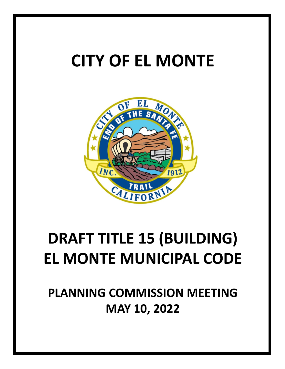# **CITY OF EL MONTE**



# **DRAFT TITLE 15 (BUILDING) EL MONTE MUNICIPAL CODE**

## **PLANNING COMMISSION MEETING MAY 10, 2022**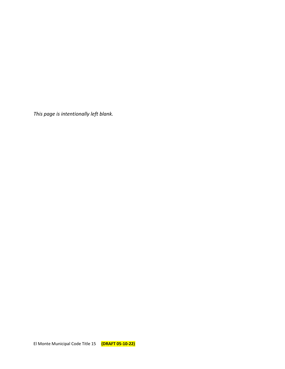*This page is intentionally left blank.*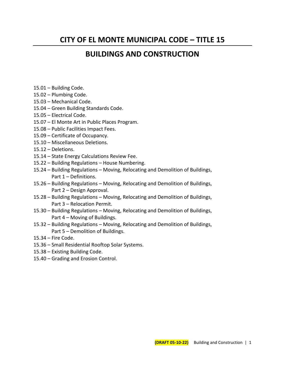## **CITY OF EL MONTE MUNICIPAL CODE – TITLE 15**

## **BUILDINGS AND CONSTRUCTION**

- 15.01 Building Code.
- 15.02 Plumbing Code.
- 15.03 Mechanical Code.
- 15.04 Green Building Standards Code.
- 15.05 Electrical Code.
- 15.07 El Monte Art in Public Places Program.
- 15.08 Public Facilities Impact Fees.
- 15.09 Certificate of Occupancy.
- 15.10 Miscellaneous Deletions.
- 15.12 Deletions.
- 15.14 State Energy Calculations Review Fee.
- 15.22 Building Regulations House Numbering.
- 15.24 Building Regulations Moving, Relocating and Demolition of Buildings, Part 1 – Definitions.
- 15.26 Building Regulations Moving, Relocating and Demolition of Buildings, Part 2 – Design Approval.
- 15.28 Building Regulations Moving, Relocating and Demolition of Buildings, Part 3 – Relocation Permit.
- 15.30 Building Regulations Moving, Relocating and Demolition of Buildings, Part 4 – Moving of Buildings.
- 15.32 Building Regulations Moving, Relocating and Demolition of Buildings, Part 5 – Demolition of Buildings.
- 15.34 Fire Code.
- 15.36 Small Residential Rooftop Solar Systems.
- 15.38 Existing Building Code.
- 15.40 Grading and Erosion Control.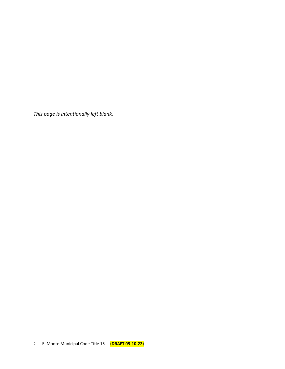*This page is intentionally left blank.*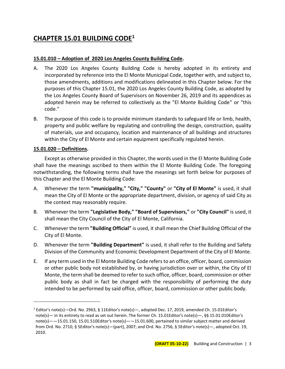## **CHAPTER 15.01 BUILDING CODE<sup>1</sup>**

#### **15.01.010 – Adoption of 2020 Los Angeles County Building Code.**

- A. The 2020 Los Angeles County Building Code is hereby adopted in its entirety and incorporated by reference into the El Monte Municipal Code, together with, and subject to, those amendments, additions and modifications delineated in this Chapter below. For the purposes of this Chapter 15.01, the 2020 Los Angeles County Building Code, as adopted by the Los Angeles County Board of Supervisors on November 26, 2019 and its appendices as adopted herein may be referred to collectively as the "El Monte Building Code" or "this code."
- B. The purpose of this code is to provide minimum standards to safeguard life or limb, health, property and public welfare by regulating and controlling the design, construction, quality of materials, use and occupancy, location and maintenance of all buildings and structures within the City of El Monte and certain equipment specifically regulated herein.

#### **15.01.020 – Definitions.**

Except as otherwise provided in this Chapter, the words used in the El Monte Building Code shall have the meanings ascribed to them within the El Monte Building Code. The foregoing notwithstanding, the following terms shall have the meanings set forth below for purposes of this Chapter and the El Monte Building Code:

- A. Whenever the term **"municipality," "City," "County"** or **"City of El Monte"** is used, it shall mean the City of El Monte or the appropriate department, division, or agency of said City as the context may reasonably require.
- B. Whenever the term **"Legislative Body," "Board of Supervisors,"** or **"City Council"** is used, it shall mean the City Council of the City of El Monte, California.
- C. Whenever the term **"Building Official"** is used, it shall mean the Chief Building Official of the City of El Monte.
- D. Whenever the term **"Building Department"** is used, it shall refer to the Building and Safety Division of the Community and Economic Development Department of the City of El Monte.
- E. If any term used in the El Monte Building Code refers to an office, officer, board, commission or other public body not established by, or having jurisdiction over or within, the City of El Monte, the term shall be deemed to refer to such office, officer, board, commission or other public body as shall in fact be charged with the responsibility of performing the duty intended to be performed by said office, officer, board, commission or other public body.

<sup>1</sup> Editor's note(s)—Ord. No. 2963, § 11Editor's note(s)—, adopted Dec. 17, 2019, amended Ch. 15.01Editor's note(s)— in its entirety to read as set out herein. The former Ch. 15.01Editor's note(s)—, §§ 15.01.010Editor's note(s)——15.01.150, 15.01.510Editor's note(s)——15.01.600, pertained to similar subject matter and derived from Ord. No. 2710, § 5Editor's note(s)—(part), 2007; and Ord. No. 2756, § 5Editor's note(s)—, adopted Oct. 19, 2010.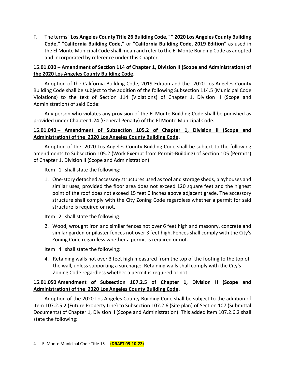F. The terms **"Los Angeles County Title 26 Building Code," " 2020 Los Angeles County Building Code," "California Building Code,"** or **"California Building Code, 2019 Edition"** as used in the El Monte Municipal Code shall mean and refer to the El Monte Building Code as adopted and incorporated by reference under this Chapter.

#### **15.01.030 – Amendment of Section 114 of Chapter 1, Division II (Scope and Administration) of the 2020 Los Angeles County Building Code.**

Adoption of the California Building Code, 2019 Edition and the 2020 Los Angeles County Building Code shall be subject to the addition of the following Subsection 114.5 (Municipal Code Violations) to the text of Section 114 (Violations) of Chapter 1, Division II (Scope and Administration) of said Code:

Any person who violates any provision of the El Monte Building Code shall be punished as provided under Chapter 1.24 (General Penalty) of the El Monte Municipal Code.

#### **15.01.040 – Amendment of Subsection 105.2 of Chapter 1, Division II (Scope and Administration) of the 2020 Los Angeles County Building Code.**

Adoption of the 2020 Los Angeles County Building Code shall be subject to the following amendments to Subsection 105.2 (Work Exempt from Permit-Building) of Section 105 (Permits) of Chapter 1, Division II (Scope and Administration):

Item "1" shall state the following:

1. One-story detached accessory structures used as tool and storage sheds, playhouses and similar uses, provided the floor area does not exceed 120 square feet and the highest point of the roof does not exceed 15 feet 0 inches above adjacent grade. The accessory structure shall comply with the City Zoning Code regardless whether a permit for said structure is required or not.

Item "2" shall state the following:

2. Wood, wrought iron and similar fences not over 6 feet high and masonry, concrete and similar garden or pilaster fences not over 3 feet high. Fences shall comply with the City's Zoning Code regardless whether a permit is required or not.

Item "4" shall state the following:

4. Retaining walls not over 3 feet high measured from the top of the footing to the top of the wall, unless supporting a surcharge. Retaining walls shall comply with the City's Zoning Code regardless whether a permit is required or not.

#### **15.01.050 Amendment of Subsection 107.2.5 of Chapter 1, Division II (Scope and Administration) of the 2020 Los Angeles County Building Code.**

Adoption of the 2020 Los Angeles County Building Code shall be subject to the addition of item 107.2.5.2 (Future Property Line) to Subsection 107.2.6 (Site plan) of Section 107 (Submittal Documents) of Chapter 1, Division II (Scope and Administration). This added item 107.2.6.2 shall state the following: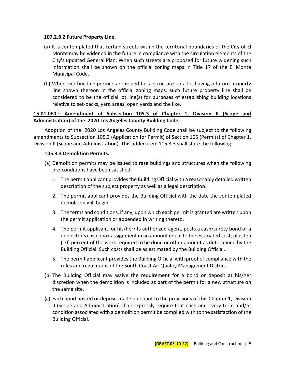#### **107.2.6.2 Future Property Line.**

- (a) It is contemplated that certain streets within the territorial boundaries of the City of El Monte may be widened in the future in compliance with the circulation elements of the City's updated General Plan. When such streets are proposed for future widening such information shall be shown on the official zoning maps in Title 17 of the El Monte Municipal Code.
- (b) Whenever building permits are issued for a structure on a lot having a future property line shown thereon in the official zoning maps, such future property line shall be considered to be the official lot line(s) for purposes of establishing building locations relative to set-backs, yard areas, open yards and the like.

#### **15.01.060 – Amendment of Subsection 105.3 of Chapter 1, Division II (Scope and Administration) of the 2020 Los Angeles County Building Code.**

Adoption of the 2020 Los Angeles County Building Code shall be subject to the following amendments to Subsection 105.3 (Application for Permit) of Section 105 (Permits) of Chapter 1, Division II (Scope and Administration). This added item 105.3.3 shall state the following:

#### **105.3.3 Demolition Permits.**

- (a) Demolition permits may be issued to raze buildings and structures when the following pre-conditions have been satisfied:
	- 1. The permit applicant provides the Building Official with a reasonably detailed written description of the subject property as well as a legal description.
	- 2. The permit applicant provides the Building Official with the date the contemplated demolition will begin.
	- 3. The terms and conditions, if any, upon which each permit is granted are written upon the permit application or appended in writing thereto.
	- 4. The permit applicant, or his/her/its authorized agent, posts a cash/surety bond or a depositor's cash book assignment in an amount equal to the estimated cost, plus ten (10) percent of the work required to be done or other amount as determined by the Building Official. Such costs shall be as estimated by the Building Official.
	- 5. The permit applicant provides the Building Official with proof of compliance with the rules and regulations of the South Coast Air Quality Management District.
- (b) The Building Official may waive the requirement for a bond or deposit at his/her discretion when the demolition is included as part of the permit for a new structure on the same site.
- (c) Each bond posted or deposit made pursuant to the provisions of this Chapter 1, Division II (Scope and Administration) shall expressly require that each and every term and/or condition associated with a demolition permit be complied with to the satisfaction of the Building Official.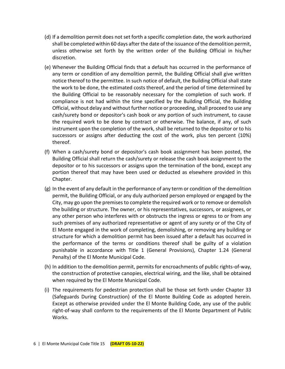- (d) If a demolition permit does not set forth a specific completion date, the work authorized shall be completed within 60 days after the date of the issuance of the demolition permit, unless otherwise set forth by the written order of the Building Official in his/her discretion.
- (e) Whenever the Building Official finds that a default has occurred in the performance of any term or condition of any demolition permit, the Building Official shall give written notice thereof to the permittee. In such notice of default, the Building Official shall state the work to be done, the estimated costs thereof, and the period of time determined by the Building Official to be reasonably necessary for the completion of such work. If compliance is not had within the time specified by the Building Official, the Building Official, without delay and without further notice or proceeding, shall proceed to use any cash/surety bond or depositor's cash book or any portion of such instrument, to cause the required work to be done by contract or otherwise. The balance, if any, of such instrument upon the completion of the work, shall be returned to the depositor or to his successors or assigns after deducting the cost of the work, plus ten percent (10%) thereof.
- (f) When a cash/surety bond or depositor's cash book assignment has been posted, the Building Official shall return the cash/surety or release the cash book assignment to the depositor or to his successors or assigns upon the termination of the bond, except any portion thereof that may have been used or deducted as elsewhere provided in this Chapter.
- (g) In the event of any default in the performance of any term or condition of the demolition permit, the Building Official, or any duly authorized person employed or engaged by the City, may go upon the premises to complete the required work or to remove or demolish the building or structure. The owner, or his representatives, successors, or assignees, or any other person who interferes with or obstructs the ingress or egress to or from any such premises of any authorized representative or agent of any surety or of the City of El Monte engaged in the work of completing, demolishing, or removing any building or structure for which a demolition permit has been issued after a default has occurred in the performance of the terms or conditions thereof shall be guilty of a violation punishable in accordance with Title 1 (General Provisions), Chapter 1.24 (General Penalty) of the El Monte Municipal Code.
- (h) In addition to the demolition permit, permits for encroachments of public rights-of-way, the construction of protective canopies, electrical wiring, and the like, shall be obtained when required by the El Monte Municipal Code.
- (i) The requirements for pedestrian protection shall be those set forth under Chapter 33 (Safeguards During Construction) of the El Monte Building Code as adopted herein. Except as otherwise provided under the El Monte Building Code, any use of the public right-of-way shall conform to the requirements of the El Monte Department of Public Works.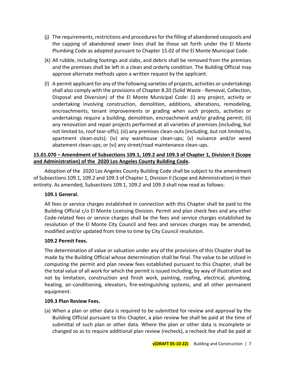- (j) The requirements, restrictions and procedures for the filling of abandoned cesspools and the capping of abandoned sewer lines shall be those set forth under the El Monte Plumbing Code as adopted pursuant to Chapter 15.02 of the El Monte Municipal Code.
- (k) All rubble, including footings and slabs, and debris shall be removed from the premises and the premises shall be left in a clean and orderly condition. The Building Official may approve alternate methods upon a written request by the applicant.
- (l) A permit applicant for any of the following varieties of projects, activities or undertakings shall also comply with the provisions of Chapter 8.20 (Solid Waste - Removal, Collection, Disposal and Diversion) of the El Monte Municipal Code: (i) any project, activity or undertaking involving construction, demolition, additions, alterations, remodeling, encroachments, tenant improvements or grading when such projects, activities or undertakings require a building, demolition, encroachment and/or grading permit; (ii) any renovation and repair projects performed at all varieties of premises (including, but not limited to, roof tear-offs); (iii) any premises clean-outs (including, but not limited to, apartment clean-outs); (iv) any warehouse clean-ups; (v) nuisance and/or weed abatement clean-ups; or (vi) any street/road maintenance clean-ups.

#### **15.01.070 – Amendment of Subsections 109.1, 109.2 and 109.3 of Chapter 1, Division II (Scope and Administration) of the 2020 Los Angeles County Building Code.**

Adoption of the 2020 Los Angeles County Building Code shall be subject to the amendment of Subsections 109.1, 109.2 and 109.3 of Chapter 1, Division II (Scope and Administration) in their entirety. As amended, Subsections 109.1, 109.2 and 109.3 shall now read as follows:

#### **109.1 General.**

All fees or service charges established in connection with this Chapter shall be paid to the Building Official c/o El Monte Licensing Division. Permit and plan check fees and any other Code-related fees or service charges shall be the fees and service charges established by resolution of the El Monte City Council and fees and services charges may be amended, modified and/or updated from time to time by City Council resolution.

#### **109.2 Permit Fees.**

The determination of value or valuation under any of the provisions of this Chapter shall be made by the Building Official whose determination shall be final. The value to be utilized in computing the permit and plan review fees established pursuant to this Chapter, shall be the total value of all work for which the permit is issued including, by way of illustration and not by limitation, construction and finish work, painting, roofing, electrical, plumbing, heating, air-conditioning, elevators, fire-extinguishing systems, and all other permanent equipment.

#### **109.3 Plan Review Fees.**

(a) When a plan or other data is required to be submitted for review and approval by the Building Official pursuant to this Chapter, a plan review fee shall be paid at the time of submittal of such plan or other data. Where the plan or other data is incomplete or changed so as to require additional plan review (recheck), a recheck fee shall be paid at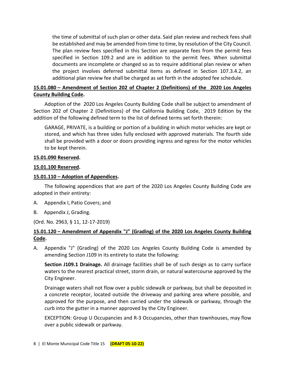the time of submittal of such plan or other data. Said plan review and recheck fees shall be established and may be amended from time to time, by resolution of the City Council. The plan review fees specified in this Section are separate fees from the permit fees specified in Section 109.2 and are in addition to the permit fees. When submittal documents are incomplete or changed so as to require additional plan review or when the project involves deferred submittal items as defined in Section 107.3.4.2, an additional plan review fee shall be charged as set forth in the adopted fee schedule.

#### **15.01.080 – Amendment of Section 202 of Chapter 2 (Definitions) of the 2020 Los Angeles County Building Code.**

Adoption of the 2020 Los Angeles County Building Code shall be subject to amendment of Section 202 of Chapter 2 (Definitions) of the California Building Code, 2019 Edition by the addition of the following defined term to the list of defined terms set forth therein:

GARAGE, PRIVATE, is a building or portion of a building in which motor vehicles are kept or stored, and which has three sides fully enclosed with approved materials. The fourth side shall be provided with a door or doors providing ingress and egress for the motor vehicles to be kept therein.

#### **15.01.090 Reserved.**

#### **15.01.100 Reserved.**

#### **15.01.110 – Adoption of Appendices.**

The following appendices that are part of the 2020 Los Angeles County Building Code are adopted in their entirety:

- A. Appendix I, Patio Covers; and
- B. Appendix J, Grading.

(Ord. No. 2963, § 11, 12-17-2019)

#### **15.01.120 – Amendment of Appendix "J" (Grading) of the 2020 Los Angeles County Building Code.**

A. Appendix "J" (Grading) of the 2020 Los Angeles County Building Code is amended by amending Section J109 in its entirety to state the following:

**Section J109.1 Drainage.** All drainage facilities shall be of such design as to carry surface waters to the nearest practical street, storm drain, or natural watercourse approved by the City Engineer.

Drainage waters shall not flow over a public sidewalk or parkway, but shall be deposited in a concrete receptor, located outside the driveway and parking area where possible, and approved for the purpose, and then carried under the sidewalk or parkway, through the curb into the gutter in a manner approved by the City Engineer.

EXCEPTION: Group U Occupancies and R-3 Occupancies, other than townhouses, may flow over a public sidewalk or parkway.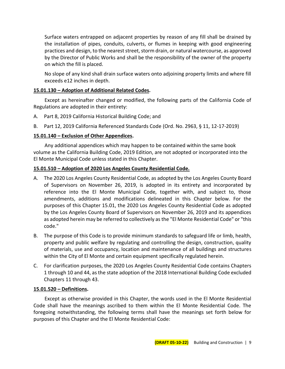Surface waters entrapped on adjacent properties by reason of any fill shall be drained by the installation of pipes, conduits, culverts, or flumes in keeping with good engineering practices and design, to the nearest street, storm drain, or natural watercourse, as approved by the Director of Public Works and shall be the responsibility of the owner of the property on which the fill is placed.

No slope of any kind shall drain surface waters onto adjoining property limits and where fill exceeds e12 inches in depth.

#### **15.01.130 – Adoption of Additional Related Codes.**

Except as hereinafter changed or modified, the following parts of the California Code of Regulations are adopted in their entirety:

- A. Part 8, 2019 California Historical Building Code; and
- B. Part 12, 2019 California Referenced Standards Code (Ord. No. 2963, § 11, 12-17-2019)

#### **15.01.140 – Exclusion of Other Appendices.**

Any additional appendices which may happen to be contained within the same book volume as the California Building Code, 2019 Edition, are not adopted or incorporated into the El Monte Municipal Code unless stated in this Chapter.

#### **15.01.510 – Adoption of 2020 Los Angeles County Residential Code.**

- A. The 2020 Los Angeles County Residential Code, as adopted by the Los Angeles County Board of Supervisors on November 26, 2019, is adopted in its entirety and incorporated by reference into the El Monte Municipal Code, together with, and subject to, those amendments, additions and modifications delineated in this Chapter below. For the purposes of this Chapter 15.01, the 2020 Los Angeles County Residential Code as adopted by the Los Angeles County Board of Supervisors on November 26, 2019 and its appendices as adopted herein may be referred to collectively as the "El Monte Residential Code" or "this code."
- B. The purpose of this Code is to provide minimum standards to safeguard life or limb, health, property and public welfare by regulating and controlling the design, construction, quality of materials, use and occupancy, location and maintenance of all buildings and structures within the City of El Monte and certain equipment specifically regulated herein.
- C. For clarification purposes, the 2020 Los Angeles County Residential Code contains Chapters 1 through 10 and 44, as the state adoption of the 2018 International Building Code excluded Chapters 11 through 43.

#### **15.01.520 – Definitions.**

Except as otherwise provided in this Chapter, the words used in the El Monte Residential Code shall have the meanings ascribed to them within the El Monte Residential Code. The foregoing notwithstanding, the following terms shall have the meanings set forth below for purposes of this Chapter and the El Monte Residential Code: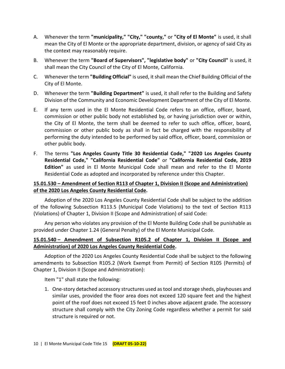- A. Whenever the term **"municipality," "City," "county,"** or **"City of El Monte"** is used, it shall mean the City of El Monte or the appropriate department, division, or agency of said City as the context may reasonably require.
- B. Whenever the term **"Board of Supervisors", "legislative body"** or **"City Council"** is used, it shall mean the City Council of the City of El Monte, California.
- C. Whenever the term **"Building Official"** is used, it shall mean the Chief Building Official of the City of El Monte.
- D. Whenever the term **"Building Department"** is used, it shall refer to the Building and Safety Division of the Community and Economic Development Department of the City of El Monte.
- E. If any term used in the El Monte Residential Code refers to an office, officer, board, commission or other public body not established by, or having jurisdiction over or within, the City of El Monte, the term shall be deemed to refer to such office, officer, board, commission or other public body as shall in fact be charged with the responsibility of performing the duty intended to be performed by said office, officer, board, commission or other public body.
- F. The terms **"Los Angeles County Title 30 Residential Code," "2020 Los Angeles County Residential Code," "California Residential Code"** or **"California Residential Code, 2019 Edition"** as used in El Monte Municipal Code shall mean and refer to the El Monte Residential Code as adopted and incorporated by reference under this Chapter.

#### **15.01.530 – Amendment of Section R113 of Chapter 1, Division II (Scope and Administration) of the 2020 Los Angeles County Residential Code.**

Adoption of the 2020 Los Angeles County Residential Code shall be subject to the addition of the following Subsection R113.5 (Municipal Code Violations) to the text of Section R113 (Violations) of Chapter 1, Division II (Scope and Administration) of said Code:

Any person who violates any provision of the El Monte Building Code shall be punishable as provided under Chapter 1.24 (General Penalty) of the El Monte Municipal Code.

#### **15.01.540 – Amendment of Subsection R105.2 of Chapter 1, Division II (Scope and Administration) of 2020 Los Angeles County Residential Code.**

Adoption of the 2020 Los Angeles County Residential Code shall be subject to the following amendments to Subsection R105.2 (Work Exempt from Permit) of Section R105 (Permits) of Chapter 1, Division II (Scope and Administration):

Item "1" shall state the following:

1. One-story detached accessory structures used as tool and storage sheds, playhouses and similar uses, provided the floor area does not exceed 120 square feet and the highest point of the roof does not exceed 15 feet 0 inches above adjacent grade. The accessory structure shall comply with the City Zoning Code regardless whether a permit for said structure is required or not.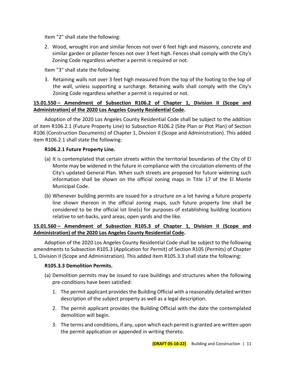Item "2" shall state the following:

2. Wood, wrought iron and similar fences not over 6 feet high and masonry, concrete and similar garden or pilaster fences not over 3 feet high. Fences shall comply with the City's Zoning Code regardless whether a permit is required or not.

Item "3" shall state the following:

3. Retaining walls not over 3 feet high measured from the top of the footing to the top of the wall, unless supporting a surcharge. Retaining walls shall comply with the City's Zoning Code regardless whether a permit is required or not.

#### **15.01.550 – Amendment of Subsection R106.2 of Chapter 1, Division II (Scope and Administration) of the 2020 Los Angeles County Residential Code.**

Adoption of the 2020 Los Angeles County Residential Code shall be subject to the addition of item R106.2.1 (Future Property Line) to Subsection R106.2 (Site Plan or Plot Plan) of Section R106 (Construction Documents) of Chapter 1, Division II (Scope and Administration). This added item R106.2.1 shall state the following:

#### **R106.2.1 Future Property Line.**

- (a) It is contemplated that certain streets within the territorial boundaries of the City of El Monte may be widened in the future in compliance with the circulation elements of the City's updated General Plan. When such streets are proposed for future widening such information shall be shown on the official zoning maps in Title 17 of the El Monte Municipal Code.
- (b) Whenever building permits are issued for a structure on a lot having a future property line shown thereon in the official zoning maps, such future property line shall be considered to be the official lot line(s) for purposes of establishing building locations relative to set-backs, yard areas, open yards and the like.

#### **15.01.560 – Amendment of Subsection R105.3 of Chapter 1, Division II (Scope and Administration) of the 2020 Los Angeles County Residential Code.**

Adoption of the 2020 Los Angeles County Residential Code shall be subject to the following amendments to Subsection R105.3 (Application for Permit) of Section R105 (Permits) of Chapter 1, Division II (Scope and Administration). This added item R105.3.3 shall state the following:

#### **R105.3.3 Demolition Permits.**

- (a) Demolition permits may be issued to raze buildings and structures when the following pre-conditions have been satisfied:
	- 1. The permit applicant provides the Building Official with a reasonably detailed written description of the subject property as well as a legal description.
	- 2. The permit applicant provides the Building Official with the date the contemplated demolition will begin.
	- 3. The terms and conditions, if any, upon which each permit is granted are written upon the permit application or appended in writing thereto.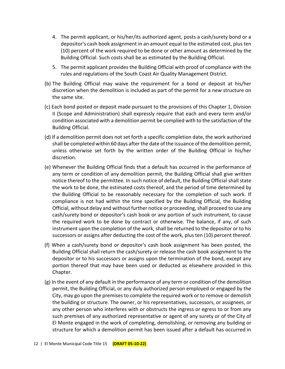- 4. The permit applicant, or his/her/its authorized agent, posts a cash/surety bond or a depositor's cash book assignment in an amount equal to the estimated cost, plus ten (10) percent of the work required to be done or other amount as determined by the Building Official. Such costs shall be as estimated by the Building Official.
- 5. The permit applicant provides the Building Official with proof of compliance with the rules and regulations of the South Coast Air Quality Management District.
- (b) The Building Official may waive the requirement for a bond or deposit at his/her discretion when the demolition is included as part of the permit for a new structure on the same site.
- (c) Each bond posted or deposit made pursuant to the provisions of this Chapter 1, Division II (Scope and Administration) shall expressly require that each and every term and/or condition associated with a demolition permit be complied with to the satisfaction of the Building Official.
- (d) If a demolition permit does not set forth a specific completion date, the work authorized shall be completed within 60 days after the date of the issuance of the demolition permit, unless otherwise set forth by the written order of the Building Official in his/her discretion.
- (e) Whenever the Building Official finds that a default has occurred in the performance of any term or condition of any demolition permit, the Building Official shall give written notice thereof to the permittee. In such notice of default, the Building Official shall state the work to be done, the estimated costs thereof, and the period of time determined by the Building Official to be reasonably necessary for the completion of such work. If compliance is not had within the time specified by the Building Official, the Building Official, without delay and without further notice or proceeding, shall proceed to use any cash/surety bond or depositor's cash book or any portion of such instrument, to cause the required work to be done by contract or otherwise. The balance, if any, of such instrument upon the completion of the work, shall be returned to the depositor or to his successors or assigns after deducting the cost of the work, plus ten (10) percent thereof.
- (f) When a cash/surety bond or depositor's cash book assignment has been posted, the Building Official shall return the cash/surety or release the cash book assignment to the depositor or to his successors or assigns upon the termination of the bond, except any portion thereof that may have been used or deducted as elsewhere provided in this Chapter.
- (g) In the event of any default in the performance of any term or condition of the demolition permit, the Building Official, or any duly authorized person employed or engaged by the City, may go upon the premises to complete the required work or to remove or demolish the building or structure. The owner, or his representatives, successors, or assignees, or any other person who interferes with or obstructs the ingress or egress to or from any such premises of any authorized representative or agent of any surety or of the City of El Monte engaged in the work of completing, demolishing, or removing any building or structure for which a demolition permit has been issued after a default has occurred in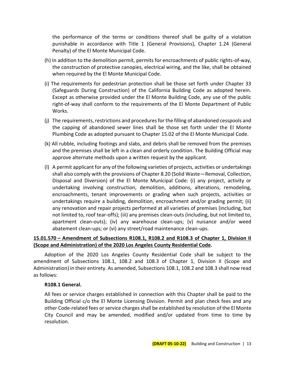the performance of the terms or conditions thereof shall be guilty of a violation punishable in accordance with Title 1 (General Provisions), Chapter 1.24 (General Penalty) of the El Monte Municipal Code.

- (h) In addition to the demolition permit, permits for encroachments of public rights-of-way, the construction of protective canopies, electrical wiring, and the like, shall be obtained when required by the El Monte Municipal Code.
- (i) The requirements for pedestrian protection shall be those set forth under Chapter 33 (Safeguards During Construction) of the California Building Code as adopted herein. Except as otherwise provided under the El Monte Building Code, any use of the public right-of-way shall conform to the requirements of the El Monte Department of Public Works.
- (j) The requirements, restrictions and procedures for the filling of abandoned cesspools and the capping of abandoned sewer lines shall be those set forth under the El Monte Plumbing Code as adopted pursuant to Chapter 15.02 of the El Monte Municipal Code.
- (k) All rubble, including footings and slabs, and debris shall be removed from the premises and the premises shall be left in a clean and orderly condition. The Building Official may approve alternate methods upon a written request by the applicant.
- (l) A permit applicant for any of the following varieties of projects, activities or undertakings shall also comply with the provisions of Chapter 8.20 (Solid Waste—Removal, Collection, Disposal and Diversion) of the El Monte Municipal Code: (i) any project, activity or undertaking involving construction, demolition, additions, alterations, remodeling, encroachments, tenant improvements or grading when such projects, activities or undertakings require a building, demolition, encroachment and/or grading permit; (ii) any renovation and repair projects performed at all varieties of premises (including, but not limited to, roof tear-offs); (iii) any premises clean-outs (including, but not limited to, apartment clean-outs); (iv) any warehouse clean-ups; (v) nuisance and/or weed abatement clean-ups; or (vi) any street/road maintenance clean-ups.

#### **15.01.570 – Amendment of Subsections R108.1, R108.2 and R108.3 of Chapter 1, Division II (Scope and Administration) of the 2020 Los Angeles County Residential Code.**

Adoption of the 2020 Los Angeles County Residential Code shall be subject to the amendment of Subsections 108.1, 108.2 and 108.3 of Chapter 1, Division II (Scope and Administration) in their entirety. As amended, Subsections 108.1, 108.2 and 108.3 shall now read as follows:

#### **R108.1 General.**

All fees or service charges established in connection with this Chapter shall be paid to the Building Official c/o the El Monte Licensing Division. Permit and plan check fees and any other Code-related fees or service charges shall be established by resolution of the El Monte City Council and may be amended, modified and/or updated from time to time by resolution.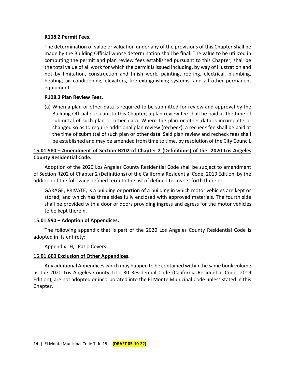#### **R108.2 Permit Fees.**

The determination of value or valuation under any of the provisions of this Chapter shall be made by the Building Official whose determination shall be final. The value to be utilized in computing the permit and plan review fees established pursuant to this Chapter, shall be the total value of all work for which the permit is issued including, by way of illustration and not by limitation, construction and finish work, painting, roofing, electrical, plumbing, heating, air-conditioning, elevators, fire-extinguishing systems, and all other permanent equipment.

#### **R108.3 Plan Review Fees.**

(a) When a plan or other data is required to be submitted for review and approval by the Building Official pursuant to this Chapter, a plan review fee shall be paid at the time of submittal of such plan or other data. Where the plan or other data is incomplete or changed so as to require additional plan review (recheck), a recheck fee shall be paid at the time of submittal of such plan or other data. Said plan review and recheck fees shall be established and may be amended from time to time, by resolution of the City Council.

#### **15.01.580 – Amendment of Section R202 of Chapter 2 (Definitions) of the 2020 Los Angeles County Residential Code.**

Adoption of the 2020 Los Angeles County Residential Code shall be subject to amendment of Section R202 of Chapter 2 (Definitions) of the California Residential Code, 2019 Edition, by the addition of the following defined term to the list of defined terms set forth therein:

GARAGE, PRIVATE, is a building or portion of a building in which motor vehicles are kept or stored, and which has three sides fully enclosed with approved materials. The fourth side shall be provided with a door or doors providing ingress and egress for the motor vehicles to be kept therein.

#### **15.01.590 – Adoption of Appendices.**

The following appendix that is part of the 2020 Los Angeles County Residential Code is adopted in its entirety:

Appendix "H," Patio Covers

#### **15.01.600 Exclusion of Other Appendices.**

Any additional Appendices which may happen to be contained within the same book volume as the 2020 Los Angeles County Title 30 Residential Code (California Residential Code, 2019 Edition), are not adopted or incorporated into the El Monte Municipal Code unless stated in this Chapter.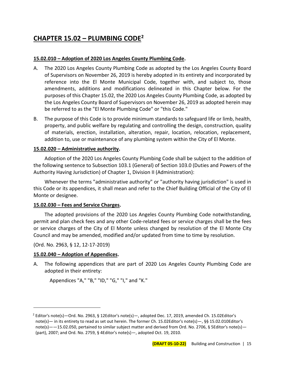## **CHAPTER 15.02 – PLUMBING CODE<sup>2</sup>**

#### **15.02.010 – Adoption of 2020 Los Angeles County Plumbing Code.**

- A. The 2020 Los Angeles County Plumbing Code as adopted by the Los Angeles County Board of Supervisors on November 26, 2019 is hereby adopted in its entirety and incorporated by reference into the El Monte Municipal Code, together with, and subject to, those amendments, additions and modifications delineated in this Chapter below. For the purposes of this Chapter 15.02, the 2020 Los Angeles County Plumbing Code, as adopted by the Los Angeles County Board of Supervisors on November 26, 2019 as adopted herein may be referred to as the "El Monte Plumbing Code" or "this Code."
- B. The purpose of this Code is to provide minimum standards to safeguard life or limb, health, property, and public welfare by regulating and controlling the design, construction, quality of materials, erection, installation, alteration, repair, location, relocation, replacement, addition to, use or maintenance of any plumbing system within the City of El Monte.

#### **15.02.020 – Administrative authority.**

Adoption of the 2020 Los Angeles County Plumbing Code shall be subject to the addition of the following sentence to Subsection 103.1 (General) of Section 103.0 (Duties and Powers of the Authority Having Jurisdiction) of Chapter 1, Division II (Administration):

Whenever the terms "administrative authority" or "authority having jurisdiction" is used in this Code or its appendices, it shall mean and refer to the Chief Building Official of the City of El Monte or designee.

#### **15.02.030 – Fees and Service Charges.**

The adopted provisions of the 2020 Los Angeles County Plumbing Code notwithstanding, permit and plan check fees and any other Code-related fees or service charges shall be the fees or service charges of the City of El Monte unless changed by resolution of the El Monte City Council and may be amended, modified and/or updated from time to time by resolution.

(Ord. No. 2963, § 12, 12-17-2019)

#### **15.02.040 – Adoption of Appendices.**

A. The following appendices that are part of 2020 Los Angeles County Plumbing Code are adopted in their entirety:

Appendices "A," "B," "ID," "G," "I," and "K."

<sup>&</sup>lt;sup>2</sup> Editor's note(s)—Ord. No. 2963, § 12Editor's note(s)—, adopted Dec. 17, 2019, amended Ch. 15.02Editor's note(s)— in its entirety to read as set out herein. The former Ch. 15.02Editor's note(s)—, §§ 15.02.010Editor's note(s)——15.02.050, pertained to similar subject matter and derived from Ord. No. 2706, § 5Editor's note(s)— (part), 2007; and Ord. No. 2759, § 4Editor's note(s)—, adopted Oct. 19, 2010.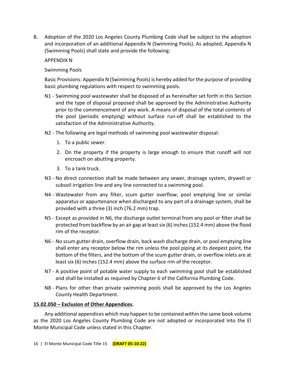B. Adoption of the 2020 Los Angeles County Plumbing Code shall be subject to the adoption and incorporation of an additional Appendix N (Swimming Pools). As adopted, Appendix N (Swimming Pools) shall state and provide the following:

APPENDIX N

Swimming Pools

Basic Provisions: Appendix N (Swimming Pools) is hereby added for the purpose of providing basic plumbing regulations with respect to swimming pools.

- N1 Swimming pool wastewater shall be disposed of as hereinafter set forth in this Section and the type of disposal proposed shall be approved by the Administrative Authority prior to the commencement of any work. A means of disposal of the total contents of the pool (periodic emptying) without surface run-off shall be established to the satisfaction of the Administrative Authority.
- N2 The following are legal methods of swimming pool wastewater disposal:
	- 1. To a public sewer.
	- 2. On the property if the property is large enough to ensure that runoff will not encroach on abutting property.
	- 3. To a tank truck.
- N3 No direct connection shall be made between any sewer, drainage system, drywell or subsoil irrigation line and any line connected to a swimming pool.
- N4 Wastewater from any filter, scum gutter overflow, pool emptying line or similar apparatus or appurtenance when discharged to any part of a drainage system, shall be provided with a three (3) inch (76.2 mm) trap.
- N5 Except as provided in N6, the discharge outlet terminal from any pool or filter shall be protected from backflow by an air gap at least six (6) inches (152.4 mm) above the flood rim of the receptor.
- N6 No scum gutter drain, overflow drain, back wash discharge drain, or pool emptying line shall enter any receptor below the rim unless the pool piping at its deepest point, the bottom of the filters, and the bottom of the scum gutter drain, or overflow inlets are at least six (6) inches (152.4 mm) above the surface rim of the receptor.
- N7 A positive point of potable water supply to each swimming pool shall be established and shall be installed as required by Chapter 6 of the California Plumbing Code.
- N8 Plans for other than private swimming pools shall be approved by the Los Angeles County Health Department.

#### **15.02.050 – Exclusion of Other Appendices.**

Any additional appendices which may happen to be contained within the same book volume as the 2020 Los Angeles County Plumbing Code are not adopted or incorporated into the El Monte Municipal Code unless stated in this Chapter.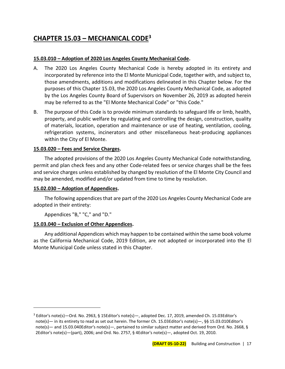## **CHAPTER 15.03 – MECHANICAL CODE<sup>3</sup>**

#### **15.03.010 – Adoption of 2020 Los Angeles County Mechanical Code.**

- A. The 2020 Los Angeles County Mechanical Code is hereby adopted in its entirety and incorporated by reference into the El Monte Municipal Code, together with, and subject to, those amendments, additions and modifications delineated in this Chapter below. For the purposes of this Chapter 15.03, the 2020 Los Angeles County Mechanical Code, as adopted by the Los Angeles County Board of Supervisors on November 26, 2019 as adopted herein may be referred to as the "El Monte Mechanical Code" or "this Code."
- B. The purpose of this Code is to provide minimum standards to safeguard life or limb, health, property, and public welfare by regulating and controlling the design, construction, quality of materials, location, operation and maintenance or use of heating, ventilation, cooling, refrigeration systems, incinerators and other miscellaneous heat-producing appliances within the City of El Monte.

#### **15.03.020 – Fees and Service Charges.**

The adopted provisions of the 2020 Los Angeles County Mechanical Code notwithstanding, permit and plan check fees and any other Code-related fees or service charges shall be the fees and service charges unless established by changed by resolution of the El Monte City Council and may be amended, modified and/or updated from time to time by resolution.

#### **15.02.030 – Adoption of Appendices.**

The following appendices that are part of the 2020 Los Angeles County Mechanical Code are adopted in their entirety:

Appendices "B," "C," and "D."

#### **15.03.040 – Exclusion of Other Appendices.**

Any additional Appendices which may happen to be contained within the same book volume as the California Mechanical Code, 2019 Edition, are not adopted or incorporated into the El Monte Municipal Code unless stated in this Chapter.

 $3$  Editor's note(s)—Ord. No. 2963, § 15Editor's note(s)—, adopted Dec. 17, 2019, amended Ch. 15.03Editor's note(s)— in its entirety to read as set out herein. The former Ch. 15.03Editor's note(s)—, §§ 15.03.010Editor's note(s)— and 15.03.040Editor's note(s)—, pertained to similar subject matter and derived from Ord. No. 2668, § 2Editor's note(s)—(part), 2006; and Ord. No. 2757, § 4Editor's note(s)—, adopted Oct. 19, 2010.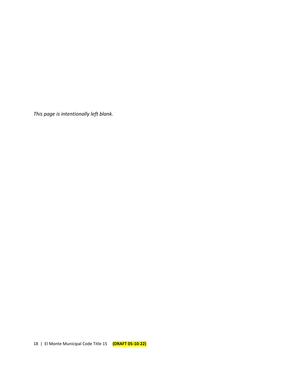*This page is intentionally left blank.*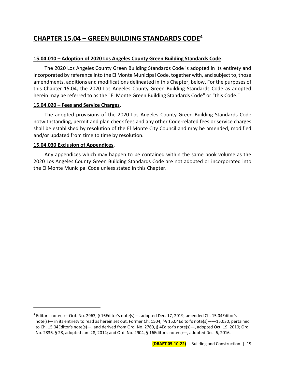## **CHAPTER 15.04 – GREEN BUILDING STANDARDS CODE<sup>4</sup>**

#### **15.04.010 – Adoption of 2020 Los Angeles County Green Building Standards Code.**

The 2020 Los Angeles County Green Building Standards Code is adopted in its entirety and incorporated by reference into the El Monte Municipal Code, together with, and subject to, those amendments, additions and modifications delineated in this Chapter, below. For the purposes of this Chapter 15.04, the 2020 Los Angeles County Green Building Standards Code as adopted herein may be referred to as the "El Monte Green Building Standards Code" or "this Code."

#### **15.04.020 – Fees and Service Charges.**

The adopted provisions of the 2020 Los Angeles County Green Building Standards Code notwithstanding, permit and plan check fees and any other Code-related fees or service charges shall be established by resolution of the El Monte City Council and may be amended, modified and/or updated from time to time by resolution.

#### **15.04.030 Exclusion of Appendices.**

Any appendices which may happen to be contained within the same book volume as the 2020 Los Angeles County Green Building Standards Code are not adopted or incorporated into the El Monte Municipal Code unless stated in this Chapter.

<sup>4</sup> Editor's note(s)—Ord. No. 2963, § 16Editor's note(s)—, adopted Dec. 17, 2019, amended Ch. 15.04Editor's note(s)— in its entirety to read as herein set out. Former Ch. 1504, §§ 15.04Editor's note(s)——15.030, pertained to Ch. 15.04Editor's note(s)—, and derived from Ord. No. 2760, § 4Editor's note(s)—, adopted Oct. 19, 2010; Ord. No. 2836, § 28, adopted Jan. 28, 2014; and Ord. No. 2904, § 16Editor's note(s)—, adopted Dec. 6, 2016.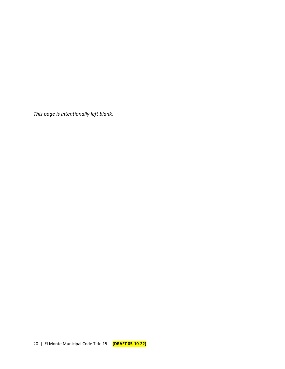*This page is intentionally left blank.*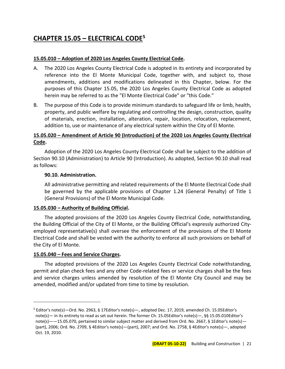## **CHAPTER 15.05 – ELECTRICAL CODE<sup>5</sup>**

#### **15.05.010 – Adoption of 2020 Los Angeles County Electrical Code.**

- A. The 2020 Los Angeles County Electrical Code is adopted in its entirety and incorporated by reference into the El Monte Municipal Code, together with, and subject to, those amendments, additions and modifications delineated in this Chapter, below. For the purposes of this Chapter 15.05, the 2020 Los Angeles County Electrical Code as adopted herein may be referred to as the "El Monte Electrical Code" or "this Code."
- B. The purpose of this Code is to provide minimum standards to safeguard life or limb, health, property, and public welfare by regulating and controlling the design, construction, quality of materials, erection, installation, alteration, repair, location, relocation, replacement, addition to, use or maintenance of any electrical system within the City of El Monte.

#### **15.05.020 – Amendment of Article 90 (Introduction) of the 2020 Los Angeles County Electrical Code.**

Adoption of the 2020 Los Angeles County Electrical Code shall be subject to the addition of Section 90.10 (Administration) to Article 90 (Introduction). As adopted, Section 90.10 shall read as follows:

#### **90.10. Administration.**

All administrative permitting and related requirements of the El Monte Electrical Code shall be governed by the applicable provisions of Chapter 1.24 (General Penalty) of Title 1 (General Provisions) of the El Monte Municipal Code.

#### **15.05.030 – Authority of Building Official.**

The adopted provisions of the 2020 Los Angeles County Electrical Code, notwithstanding, the Building Official of the City of El Monte, or the Building Official's expressly authorized Cityemployed representative(s) shall oversee the enforcement of the provisions of the El Monte Electrical Code and shall be vested with the authority to enforce all such provisions on behalf of the City of El Monte.

#### **15.05.040 – Fees and Service Charges.**

The adopted provisions of the 2020 Los Angeles County Electrical Code notwithstanding, permit and plan check fees and any other Code-related fees or service charges shall be the fees and service charges unless amended by resolution of the El Monte City Council and may be amended, modified and/or updated from time to time by resolution.

<sup>5</sup> Editor's note(s)—Ord. No. 2963, § 17Editor's note(s)—, adopted Dec. 17, 2019, amended Ch. 15.05Editor's note(s)— in its entirety to read as set out herein. The former Ch. 15.05Editor's note(s)—, §§ 15.05.010Editor's note(s)——15.05.070, pertained to similar subject matter and derived from Ord. No. 2667, § 1Editor's note(s)— (part), 2006; Ord. No. 2709, § 4Editor's note(s)—(part), 2007; and Ord. No. 2758, § 4Editor's note(s)—, adopted Oct. 19, 2010.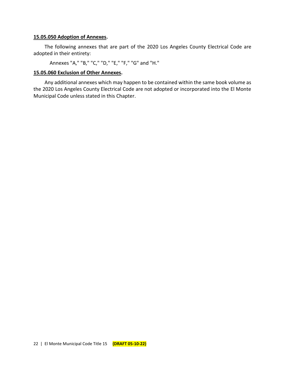#### **15.05.050 Adoption of Annexes.**

The following annexes that are part of the 2020 Los Angeles County Electrical Code are adopted in their entirety:

Annexes "A," "B," "C," "D," "E," "F," "G" and "H."

#### **15.05.060 Exclusion of Other Annexes.**

Any additional annexes which may happen to be contained within the same book volume as the 2020 Los Angeles County Electrical Code are not adopted or incorporated into the El Monte Municipal Code unless stated in this Chapter.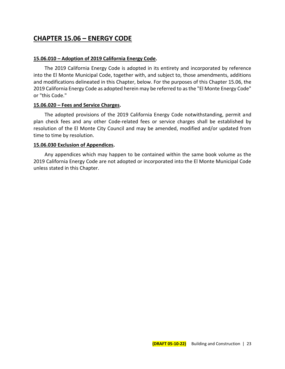### **CHAPTER 15.06 – ENERGY CODE**

#### **15.06.010 – Adoption of 2019 California Energy Code.**

The 2019 California Energy Code is adopted in its entirety and incorporated by reference into the El Monte Municipal Code, together with, and subject to, those amendments, additions and modifications delineated in this Chapter, below. For the purposes of this Chapter 15.06, the 2019 California Energy Code as adopted herein may be referred to as the "El Monte Energy Code" or "this Code."

#### **15.06.020 – Fees and Service Charges.**

The adopted provisions of the 2019 California Energy Code notwithstanding, permit and plan check fees and any other Code-related fees or service charges shall be established by resolution of the El Monte City Council and may be amended, modified and/or updated from time to time by resolution.

#### **15.06.030 Exclusion of Appendices.**

Any appendices which may happen to be contained within the same book volume as the 2019 California Energy Code are not adopted or incorporated into the El Monte Municipal Code unless stated in this Chapter.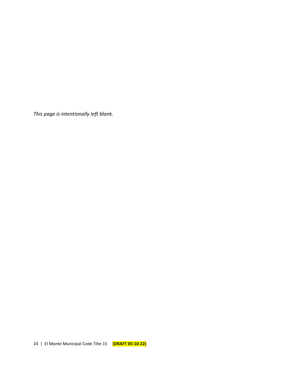*This page is intentionally left blank.*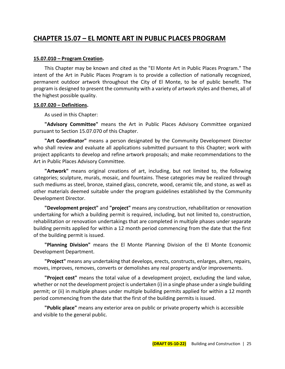### **CHAPTER 15.07 – EL MONTE ART IN PUBLIC PLACES PROGRAM**

#### **15.07.010 – Program Creation.**

This Chapter may be known and cited as the "El Monte Art in Public Places Program." The intent of the Art in Public Places Program is to provide a collection of nationally recognized, permanent outdoor artwork throughout the City of El Monte, to be of public benefit. The program is designed to present the community with a variety of artwork styles and themes, all of the highest possible quality.

#### **15.07.020 – Definitions.**

As used in this Chapter:

**"Advisory Committee"** means the Art in Public Places Advisory Committee organized pursuant to Section 15.07.070 of this Chapter.

**"Art Coordinator"** means a person designated by the Community Development Director who shall review and evaluate all applications submitted pursuant to this Chapter; work with project applicants to develop and refine artwork proposals; and make recommendations to the Art in Public Places Advisory Committee.

**"Artwork"** means original creations of art, including, but not limited to, the following categories; sculpture, murals, mosaic, and fountains. These categories may be realized through such mediums as steel, bronze, stained glass, concrete, wood, ceramic tile, and stone, as well as other materials deemed suitable under the program guidelines established by the Community Development Director.

**"Development project"** and **"project"** means any construction, rehabilitation or renovation undertaking for which a building permit is required, including, but not limited to, construction, rehabilitation or renovation undertakings that are completed in multiple phases under separate building permits applied for within a 12 month period commencing from the date that the first of the building permit is issued.

**"Planning Division"** means the El Monte Planning Division of the El Monte Economic Development Department.

**"Project"** means any undertaking that develops, erects, constructs, enlarges, alters, repairs, moves, improves, removes, converts or demolishes any real property and/or improvements.

**"Project cost"** means the total value of a development project, excluding the land value, whether or not the development project is undertaken (i) in a single phase under a single building permit; or (ii) in multiple phases under multiple building permits applied for within a 12 month period commencing from the date that the first of the building permits is issued.

**"Public place"** means any exterior area on public or private property which is accessible and visible to the general public.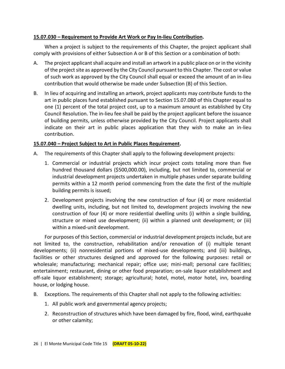#### **15.07.030 – Requirement to Provide Art Work or Pay In-lieu Contribution.**

When a project is subject to the requirements of this Chapter, the project applicant shall comply with provisions of either Subsection A or B of this Section or a combination of both:

- A. The project applicant shall acquire and install an artwork in a public place on or in the vicinity of the project site as approved by the City Council pursuant to this Chapter. The cost or value of such work as approved by the City Council shall equal or exceed the amount of an in-lieu contribution that would otherwise be made under Subsection (B) of this Section.
- B. In lieu of acquiring and installing an artwork, project applicants may contribute funds to the art in public places fund established pursuant to Section 15.07.080 of this Chapter equal to one (1) percent of the total project cost, up to a maximum amount as established by City Council Resolution. The in-lieu fee shall be paid by the project applicant before the issuance of building permits, unless otherwise provided by the City Council. Project applicants shall indicate on their art in public places application that they wish to make an in-lieu contribution.

#### **15.07.040 – Project Subject to Art in Public Places Requirement.**

- A. The requirements of this Chapter shall apply to the following development projects:
	- 1. Commercial or industrial projects which incur project costs totaling more than five hundred thousand dollars (\$500,000.00), including, but not limited to, commercial or industrial development projects undertaken in multiple phases under separate building permits within a 12 month period commencing from the date the first of the multiple building permits is issued;
	- 2. Development projects involving the new construction of four (4) or more residential dwelling units, including, but not limited to, development projects involving the new construction of four (4) or more residential dwelling units (i) within a single building, structure or mixed use development; (ii) within a planned unit development; or (iii) within a mixed-unit development.

For purposes of this Section, commercial or industrial development projects include, but are not limited to, the construction, rehabilitation and/or renovation of (i) multiple tenant developments; (ii) nonresidential portions of mixed-use developments; and (iii) buildings, facilities or other structures designed and approved for the following purposes: retail or wholesale; manufacturing; mechanical repair; office use; mini-mall; personal care facilities; entertainment; restaurant, dining or other food preparation; on-sale liquor establishment and off-sale liquor establishment; storage; agricultural; hotel, motel, motor hotel, inn, boarding house, or lodging house.

- B. Exceptions. The requirements of this Chapter shall not apply to the following activities:
	- 1. All public work and governmental agency projects;
	- 2. Reconstruction of structures which have been damaged by fire, flood, wind, earthquake or other calamity;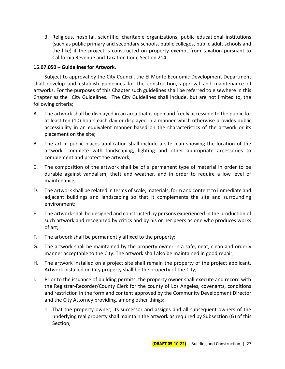3. Religious, hospital, scientific, charitable organizations, public educational institutions (such as public primary and secondary schools, public colleges, public adult schools and the like) if the project is constructed on property exempt from taxation pursuant to California Revenue and Taxation Code Section 214.

#### **15.07.050 – Guidelines for Artwork.**

Subject to approval by the City Council, the El Monte Economic Development Department shall develop and establish guidelines for the construction, approval and maintenance of artworks. For the purposes of this Chapter such guidelines shall be referred to elsewhere in this Chapter as the "City Guidelines." The City Guidelines shall include, but are not limited to, the following criteria;

- A. The artwork shall be displayed in an area that is open and freely accessible to the public for at least ten (10) hours each day or displayed in a manner which otherwise provides public accessibility in an equivalent manner based on the characteristics of the artwork or its placement on the site;
- B. The art in public places application shall include a site plan showing the location of the artwork, complete with landscaping, lighting and other appropriate accessories to complement and protect the artwork;
- C. The composition of the artwork shall be of a permanent type of material in order to be durable against vandalism, theft and weather, and in order to require a low level of maintenance;
- D. The artwork shall be related in terms of scale, materials, form and content to immediate and adjacent buildings and landscaping so that it complements the site and surrounding environment;
- E. The artwork shall be designed and constructed by persons experienced in the production of such artwork and recognized by critics and by his or her peers as one who produces works of art;
- F. The artwork shall be permanently affixed to the property;
- G. The artwork shall be maintained by the property owner in a safe, neat, clean and orderly manner acceptable to the City. The artwork shall also be maintained in good repair;
- H. The artwork installed on a project site shall remain the property of the project applicant. Artwork installed on City property shall be the property of the City;
- I. Prior to the issuance of building permits, the property owner shall execute and record with the Registrar-Recorder/County Clerk for the county of Los Angeles, covenants, conditions and restriction in the form and content approved by the Community Development Director and the City Attorney providing, among other things:
	- 1. That the property owner, its successor and assigns and all subsequent owners of the underlying real property shall maintain the artwork as required by Subsection (G) of this Section;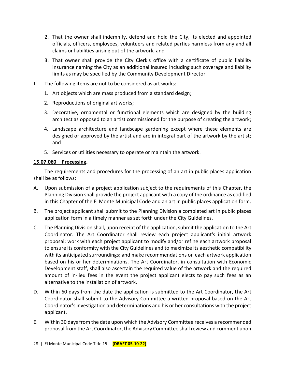- 2. That the owner shall indemnify, defend and hold the City, its elected and appointed officials, officers, employees, volunteers and related parties harmless from any and all claims or liabilities arising out of the artwork; and
- 3. That owner shall provide the City Clerk's office with a certificate of public liability insurance naming the City as an additional insured including such coverage and liability limits as may be specified by the Community Development Director.
- J. The following items are not to be considered as art works:
	- 1. Art objects which are mass produced from a standard design;
	- 2. Reproductions of original art works;
	- 3. Decorative, ornamental or functional elements which are designed by the building architect as opposed to an artist commissioned for the purpose of creating the artwork;
	- 4. Landscape architecture and landscape gardening except where these elements are designed or approved by the artist and are in integral part of the artwork by the artist; and
	- 5. Services or utilities necessary to operate or maintain the artwork.

#### **15.07.060 – Processing.**

The requirements and procedures for the processing of an art in public places application shall be as follows:

- A. Upon submission of a project application subject to the requirements of this Chapter, the Planning Division shall provide the project applicant with a copy of the ordinance as codified in this Chapter of the El Monte Municipal Code and an art in public places application form.
- B. The project applicant shall submit to the Planning Division a completed art in public places application form in a timely manner as set forth under the City Guidelines.
- C. The Planning Division shall, upon receipt of the application, submit the application to the Art Coordinator. The Art Coordinator shall review each project applicant's initial artwork proposal; work with each project applicant to modify and/or refine each artwork proposal to ensure its conformity with the City Guidelines and to maximize its aesthetic compatibility with its anticipated surroundings; and make recommendations on each artwork application based on his or her determinations. The Art Coordinator, in consultation with Economic Development staff, shall also ascertain the required value of the artwork and the required amount of in-lieu fees in the event the project applicant elects to pay such fees as an alternative to the installation of artwork.
- D. Within 60 days from the date the application is submitted to the Art Coordinator, the Art Coordinator shall submit to the Advisory Committee a written proposal based on the Art Coordinator's investigation and determinations and his or her consultations with the project applicant.
- E. Within 30 days from the date upon which the Advisory Committee receives a recommended proposal from the Art Coordinator, the Advisory Committee shall review and comment upon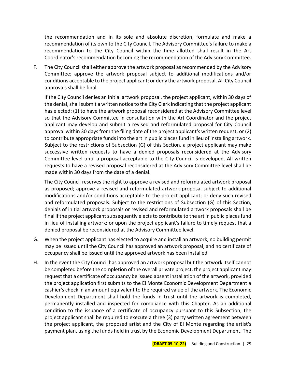the recommendation and in its sole and absolute discretion, formulate and make a recommendation of its own to the City Council. The Advisory Committee's failure to make a recommendation to the City Council within the time allotted shall result in the Art Coordinator's recommendation becoming the recommendation of the Advisory Committee.

F. The City Council shall either approve the artwork proposal as recommended by the Advisory Committee; approve the artwork proposal subject to additional modifications and/or conditions acceptable to the project applicant; or deny the artwork proposal. All City Council approvals shall be final.

If the City Council denies an initial artwork proposal, the project applicant, within 30 days of the denial, shall submit a written notice to the City Clerk indicating that the project applicant has elected: (1) to have the artwork proposal reconsidered at the Advisory Committee level so that the Advisory Committee in consultation with the Art Coordinator and the project applicant may develop and submit a revised and reformulated proposal for City Council approval within 30 days from the filing date of the project applicant's written request; or (2) to contribute appropriate funds into the art in public places fund in lieu of installing artwork. Subject to the restrictions of Subsection (G) of this Section, a project applicant may make successive written requests to have a denied proposals reconsidered at the Advisory Committee level until a proposal acceptable to the City Council is developed. All written requests to have a revised proposal reconsidered at the Advisory Committee level shall be made within 30 days from the date of a denial.

The City Council reserves the right to approve a revised and reformulated artwork proposal as proposed; approve a revised and reformulated artwork proposal subject to additional modifications and/or conditions acceptable to the project applicant; or deny such revised and reformulated proposals. Subject to the restrictions of Subsection (G) of this Section, denials of initial artwork proposals or revised and reformulated artwork proposals shall be final if the project applicant subsequently elects to contribute to the art in public places fund in lieu of installing artwork; or upon the project applicant's failure to timely request that a denied proposal be reconsidered at the Advisory Committee level.

- G. When the project applicant has elected to acquire and install an artwork, no building permit may be issued until the City Council has approved an artwork proposal, and no certificate of occupancy shall be issued until the approved artwork has been installed.
- H. In the event the City Council has approved an artwork proposal but the artwork itself cannot be completed before the completion of the overall private project, the project applicant may request that a certificate of occupancy be issued absent installation of the artwork, provided the project application first submits to the El Monte Economic Development Department a cashier's check in an amount equivalent to the required value of the artwork. The Economic Development Department shall hold the funds in trust until the artwork is completed, permanently installed and inspected for compliance with this Chapter. As an additional condition to the issuance of a certificate of occupancy pursuant to this Subsection, the project applicant shall be required to execute a three (3) party written agreement between the project applicant, the proposed artist and the City of El Monte regarding the artist's payment plan, using the funds held in trust by the Economic Development Department. The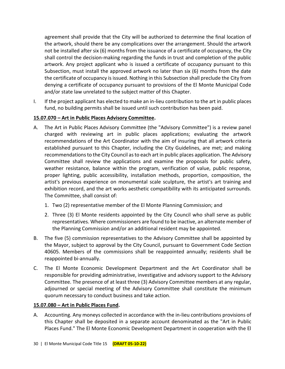agreement shall provide that the City will be authorized to determine the final location of the artwork, should there be any complications over the arrangement. Should the artwork not be installed after six (6) months from the issuance of a certificate of occupancy, the City shall control the decision-making regarding the funds in trust and completion of the public artwork. Any project applicant who is issued a certificate of occupancy pursuant to this Subsection, must install the approved artwork no later than six (6) months from the date the certificate of occupancy is issued. Nothing in this Subsection shall preclude the City from denying a certificate of occupancy pursuant to provisions of the El Monte Municipal Code and/or state law unrelated to the subject matter of this Chapter.

I. If the project applicant has elected to make an in-lieu contribution to the art in public places fund, no building permits shall be issued until such contribution has been paid.

#### **15.07.070 – Art in Public Places Advisory Committee.**

- A. The Art in Public Places Advisory Committee (the "Advisory Committee") is a review panel charged with reviewing art in public places applications; evaluating the artwork recommendations of the Art Coordinator with the aim of insuring that all artwork criteria established pursuant to this Chapter, including the City Guidelines, are met; and making recommendations to the City Council as to each art in public places application. The Advisory Committee shall review the applications and examine the proposals for public safety, weather resistance, balance within the program, verification of value, public response, proper lighting, public accessibility, installation methods, proportion, composition, the artist's previous experience on monumental scale sculpture, the artist's art training and exhibition record, and the art works aesthetic compatibility with its anticipated surrounds. The Committee, shall consist of:
	- 1. Two (2) representative member of the El Monte Planning Commission; and
	- 2. Three (3) El Monte residents appointed by the City Council who shall serve as public representatives. Where commissioners are found to be inactive, an alternate member of the Planning Commission and/or an additional resident may be appointed.
- B. The five (5) commission representatives to the Advisory Committee shall be appointed by the Mayor, subject to approval by the City Council, pursuant to Government Code Section 40605. Members of the commissions shall be reappointed annually; residents shall be reappointed bi-annually.
- C. The El Monte Economic Development Department and the Art Coordinator shall be responsible for providing administrative, investigative and advisory support to the Advisory Committee. The presence of at least three (3) Advisory Committee members at any regular, adjourned or special meeting of the Advisory Committee shall constitute the minimum quorum necessary to conduct business and take action.

#### **15.07.080 – Art in Public Places Fund.**

A. Accounting. Any moneys collected in accordance with the in-lieu contributions provisions of this Chapter shall be deposited in a separate account denominated as the "Art in Public Places Fund." The El Monte Economic Development Department in cooperation with the El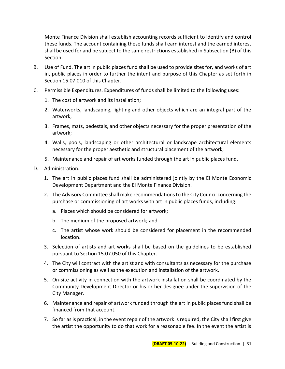Monte Finance Division shall establish accounting records sufficient to identify and control these funds. The account containing these funds shall earn interest and the earned interest shall be used for and be subject to the same restrictions established in Subsection (B) of this Section.

- B. Use of Fund. The art in public places fund shall be used to provide sites for, and works of art in, public places in order to further the intent and purpose of this Chapter as set forth in Section 15.07.010 of this Chapter.
- C. Permissible Expenditures. Expenditures of funds shall be limited to the following uses:
	- 1. The cost of artwork and its installation;
	- 2. Waterworks, landscaping, lighting and other objects which are an integral part of the artwork;
	- 3. Frames, mats, pedestals, and other objects necessary for the proper presentation of the artwork;
	- 4. Walls, pools, landscaping or other architectural or landscape architectural elements necessary for the proper aesthetic and structural placement of the artwork;
	- 5. Maintenance and repair of art works funded through the art in public places fund.
- D. Administration.
	- 1. The art in public places fund shall be administered jointly by the El Monte Economic Development Department and the El Monte Finance Division.
	- 2. The Advisory Committee shall make recommendations to the City Council concerning the purchase or commissioning of art works with art in public places funds, including:
		- a. Places which should be considered for artwork;
		- b. The medium of the proposed artwork; and
		- c. The artist whose work should be considered for placement in the recommended location.
	- 3. Selection of artists and art works shall be based on the guidelines to be established pursuant to Section 15.07.050 of this Chapter.
	- 4. The City will contract with the artist and with consultants as necessary for the purchase or commissioning as well as the execution and installation of the artwork.
	- 5. On-site activity in connection with the artwork installation shall be coordinated by the Community Development Director or his or her designee under the supervision of the City Manager.
	- 6. Maintenance and repair of artwork funded through the art in public places fund shall be financed from that account.
	- 7. So far as is practical, in the event repair of the artwork is required, the City shall first give the artist the opportunity to do that work for a reasonable fee. In the event the artist is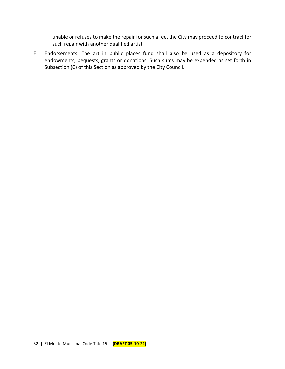unable or refuses to make the repair for such a fee, the City may proceed to contract for such repair with another qualified artist.

E. Endorsements. The art in public places fund shall also be used as a depository for endowments, bequests, grants or donations. Such sums may be expended as set forth in Subsection (C) of this Section as approved by the City Council.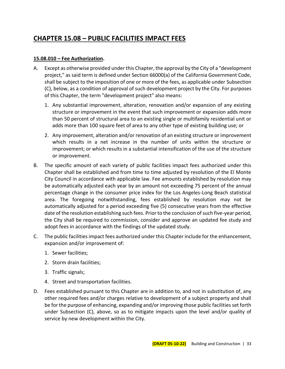## **CHAPTER 15.08 – PUBLIC FACILITIES IMPACT FEES**

#### **15.08.010 – Fee Authorization.**

- A. Except as otherwise provided under this Chapter, the approval by the City of a "development project," as said term is defined under Section 66000(a) of the California Government Code, shall be subject to the imposition of one or more of the fees, as applicable under Subsection (C), below, as a condition of approval of such development project by the City. For purposes of this Chapter, the term "development project" also means:
	- 1. Any substantial improvement, alteration, renovation and/or expansion of any existing structure or improvement in the event that such improvement or expansion adds more than 50 percent of structural area to an existing single or multifamily residential unit or adds more than 100 square feet of area to any other type of existing building use; or
	- 2. Any improvement, alteration and/or renovation of an existing structure or improvement which results in a net increase in the number of units within the structure or improvement; or which results in a substantial intensification of the use of the structure or improvement.
- B. The specific amount of each variety of public facilities impact fees authorized under this Chapter shall be established and from time to time adjusted by resolution of the El Monte City Council in accordance with applicable law. Fee amounts established by resolution may be automatically adjusted each year by an amount not exceeding 75 percent of the annual percentage change in the consumer price index for the Los Angeles-Long Beach statistical area. The foregoing notwithstanding, fees established by resolution may not be automatically adjusted for a period exceeding five (5) consecutive years from the effective date of the resolution establishing such fees. Prior to the conclusion of such five-year period, the City shall be required to commission, consider and approve an updated fee study and adopt fees in accordance with the findings of the updated study.
- C. The public facilities impact fees authorized under this Chapter include for the enhancement, expansion and/or improvement of:
	- 1. Sewer facilities;
	- 2. Storm drain facilities;
	- 3. Traffic signals;
	- 4. Street and transportation facilities.
- D. Fees established pursuant to this Chapter are in addition to, and not in substitution of, any other required fees and/or charges relative to development of a subject property and shall be for the purpose of enhancing, expanding and/or improving those public facilities set forth under Subsection (C), above, so as to mitigate impacts upon the level and/or quality of service by new development within the City.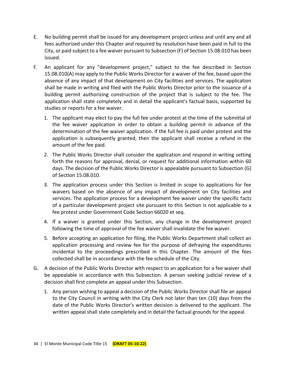- E. No building permit shall be issued for any development project unless and until any and all fees authorized under this Chapter and required by resolution have been paid in full to the City, or paid subject to a fee waiver pursuant to Subsection (F) of Section 15.08.010 has been issued.
- F. An applicant for any "development project," subject to the fee described in Section 15.08.010(A) may apply to the Public Works Director for a waiver of the fee, based upon the absence of any impact of that development on City facilities and services. The application shall be made in writing and filed with the Public Works Director prior to the issuance of a building permit authorizing construction of the project that is subject to the fee. The application shall state completely and in detail the applicant's factual basis, supported by studies or reports for a fee waiver.
	- 1. The applicant may elect to pay the full fee under protest at the time of the submittal of the fee waiver application in order to obtain a building permit in advance of the determination of the fee waiver application. If the full fee is paid under protest and the application is subsequently granted, then the applicant shall receive a refund in the amount of the fee paid.
	- 2. The Public Works Director shall consider the application and respond in writing setting forth the reasons for approval, denial, or request for additional information within 60 days. The decision of the Public Works Director is appealable pursuant to Subsection (G) of Section 15.08.010.
	- 3. The application process under this Section is limited in scope to applications for fee waivers based on the absence of any impact of development on City facilities and services. The application process for a development fee waiver under the specific facts of a particular development project site pursuant to this Section is not applicable to a fee protest under Government Code Section 66020 et seq.
	- 4. If a waiver is granted under this Section, any change in the development project following the time of approval of the fee waiver shall invalidate the fee waiver.
	- 5. Before accepting an application for filing, the Public Works Department shall collect an application processing and review fee for the purpose of defraying the expenditures incidental to the proceedings prescribed in this Chapter. The amount of the fees collected shall be in accordance with the fee schedule of the City.
- G. A decision of the Public Works Director with respect to an application for a fee waiver shall be appealable in accordance with this Subsection. A person seeking judicial review of a decision shall first complete an appeal under this Subsection.
	- 1. Any person wishing to appeal a decision of the Public Works Director shall file an appeal to the City Council in writing with the City Clerk not later than ten (10) days from the date of the Public Works Director's written decision is delivered to the applicant. The written appeal shall state completely and in detail the factual grounds for the appeal.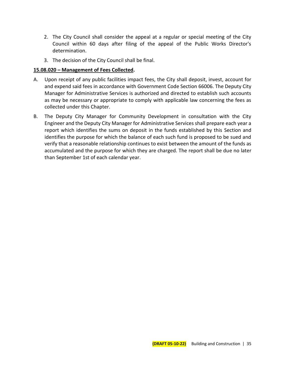- 2. The City Council shall consider the appeal at a regular or special meeting of the City Council within 60 days after filing of the appeal of the Public Works Director's determination.
- 3. The decision of the City Council shall be final.

#### **15.08.020 – Management of Fees Collected.**

- A. Upon receipt of any public facilities impact fees, the City shall deposit, invest, account for and expend said fees in accordance with Government Code Section 66006. The Deputy City Manager for Administrative Services is authorized and directed to establish such accounts as may be necessary or appropriate to comply with applicable law concerning the fees as collected under this Chapter.
- B. The Deputy City Manager for Community Development in consultation with the City Engineer and the Deputy City Manager for Administrative Services shall prepare each year a report which identifies the sums on deposit in the funds established by this Section and identifies the purpose for which the balance of each such fund is proposed to be sued and verify that a reasonable relationship continues to exist between the amount of the funds as accumulated and the purpose for which they are charged. The report shall be due no later than September 1st of each calendar year.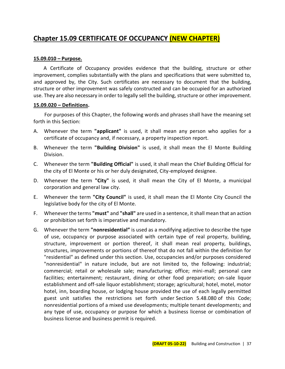# **Chapter 15.09 CERTIFICATE OF OCCUPANCY (NEW CHAPTER)**

#### **15.09.010 – Purpose.**

A Certificate of Occupancy provides evidence that the building, structure or other improvement, complies substantially with the plans and specifications that were submitted to, and approved by, the City. Such certificates are necessary to document that the building, structure or other improvement was safely constructed and can be occupied for an authorized use. They are also necessary in order to legally sell the building, structure or other improvement.

#### **15.09.020 – Definitions.**

For purposes of this Chapter, the following words and phrases shall have the meaning set forth in this Section:

- A. Whenever the term **"applicant"** is used, it shall mean any person who applies for a certificate of occupancy and, if necessary, a property inspection report.
- B. Whenever the term **"Building Division"** is used, it shall mean the El Monte Building Division.
- C. Whenever the term **"Building Official"** is used, it shall mean the Chief Building Official for the city of El Monte or his or her duly designated, City-employed designee.
- D. Whenever the term **"City"** is used, it shall mean the City of El Monte, a municipal corporation and general law city.
- E. Whenever the term **"City Council"** is used, it shall mean the El Monte City Council the legislative body for the city of El Monte.
- F. Whenever the terms **"must"** and **"shall"** are used in a sentence, it shall mean that an action or prohibition set forth is imperative and mandatory.
- G. Whenever the term **"nonresidential"** is used as a modifying adjective to describe the type of use, occupancy or purpose associated with certain type of real property, building, structure, improvement or portion thereof, it shall mean real property, buildings, structures, improvements or portions of thereof that do not fall within the definition for "residential" as defined under this section. Use, occupancies and/or purposes considered "nonresidential" in nature include, but are not limited to, the following: industrial; commercial; retail or wholesale sale; manufacturing; office; mini-mall; personal care facilities; entertainment; restaurant, dining or other food preparation; on-sale liquor establishment and off-sale liquor establishment; storage; agricultural; hotel, motel, motor hotel, inn, boarding house, or lodging house provided the use of each legally permitted guest unit satisfies the restrictions set forth under [Section 5.48.080](https://library.municode.com/ca/el_monte/codes/code_of_ordinances?nodeId=TIT5BULIRE_CH5.48HOMORE_5.48.080RE) of this Code; nonresidential portions of a mixed use developments; multiple tenant developments; and any type of use, occupancy or purpose for which a business license or combination of business license and business permit is required.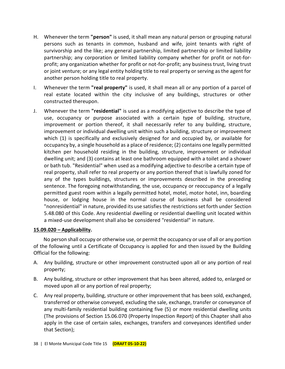- H. Whenever the term **"person"** is used, it shall mean any natural person or grouping natural persons such as tenants in common, husband and wife, joint tenants with right of survivorship and the like; any general partnership, limited partnership or limited liability partnership; any corporation or limited liability company whether for profit or not-forprofit; any organization whether for profit or not-for-profit; any business trust, living trust or joint venture; or any legal entity holding title to real property or serving as the agent for another person holding title to real property.
- I. Whenever the term **"real property"** is used, it shall mean all or any portion of a parcel of real estate located within the city inclusive of any buildings, structures or other constructed thereupon.
- J. Whenever the term **"residential"** is used as a modifying adjective to describe the type of use, occupancy or purpose associated with a certain type of building, structure, improvement or portion thereof, it shall necessarily refer to any building, structure, improvement or individual dwelling unit within such a building, structure or improvement which (1) is specifically and exclusively designed for and occupied by, or available for occupancy by, a single household as a place of residence; (2) contains one legally permitted kitchen per household residing in the building, structure, improvement or individual dwelling unit; and (3) contains at least one bathroom equipped with a toilet and a shower or bath tub. "Residential" when used as a modifying adjective to describe a certain type of real property, shall refer to real property or any portion thereof that is lawfully zoned for any of the types buildings, structures or improvements described in the preceding sentence. The foregoing notwithstanding, the use, occupancy or reoccupancy of a legally permitted guest room within a legally permitted hotel, motel, motor hotel, inn, boarding house, or lodging house in the normal course of business shall be considered "nonresidential" in nature, provided its use satisfies the restrictions set forth under [Section](https://library.municode.com/ca/el_monte/codes/code_of_ordinances?nodeId=TIT5BULIRE_CH5.48HOMORE_5.48.080RE)  [5.48.080](https://library.municode.com/ca/el_monte/codes/code_of_ordinances?nodeId=TIT5BULIRE_CH5.48HOMORE_5.48.080RE) of this Code. Any residential dwelling or residential dwelling unit located within a mixed-use development shall also be considered "residential" in nature.

#### **15.09.020 – Applicability.**

No person shall occupy or otherwise use, or permit the occupancy or use of all or any portion of the following until a Certificate of Occupancy is applied for and then issued by the Building Official for the following:

- A. Any building, structure or other improvement constructed upon all or any portion of real property;
- B. Any building, structure or other improvement that has been altered, added to, enlarged or moved upon all or any portion of real property;
- C. Any real property, building, structure or other improvement that has been sold, exchanged, transferred or otherwise conveyed, excluding the sale, exchange, transfer or conveyance of any multi-family residential building containing five (5) or more residential dwelling units (The provisions of Section 15.06.070 (Property Inspection Report) of this Chapter shall also apply in the case of certain sales, exchanges, transfers and conveyances identified under that Section);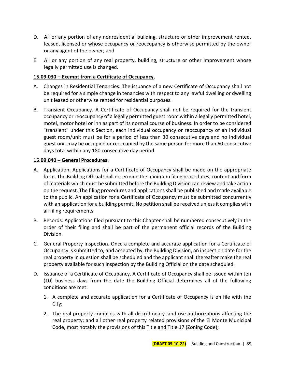- D. All or any portion of any nonresidential building, structure or other improvement rented, leased, licensed or whose occupancy or reoccupancy is otherwise permitted by the owner or any agent of the owner; and
- E. All or any portion of any real property, building, structure or other improvement whose legally permitted use is changed.

# **15.09.030 – Exempt from a Certificate of Occupancy.**

- A. Changes in Residential Tenancies. The issuance of a new Certificate of Occupancy shall not be required for a simple change in tenancies with respect to any lawful dwelling or dwelling unit leased or otherwise rented for residential purposes.
- B. Transient Occupancy. A Certificate of Occupancy shall not be required for the transient occupancy or reoccupancy of a legally permitted guest room within a legally permitted hotel, motel, motor hotel or inn as part of its normal course of business. In order to be considered "transient" under this Section, each individual occupancy or reoccupancy of an individual guest room/unit must be for a period of less than 30 consecutive days and no individual guest unit may be occupied or reoccupied by the same person for more than 60 consecutive days total within any 180 consecutive day period.

# **15.09.040 – General Procedures.**

- A. Application. Applications for a Certificate of Occupancy shall be made on the appropriate form. The Building Official shall determine the minimum filing procedures, content and form of materials which must be submitted before the Building Division can review and take action on the request. The filing procedures and applications shall be published and made available to the public. An application for a Certificate of Occupancy must be submitted concurrently with an application for a building permit. No petition shall be received unless it complies with all filing requirements.
- B. Records. Applications filed pursuant to this Chapter shall be numbered consecutively in the order of their filing and shall be part of the permanent official records of the Building Division.
- C. General Property Inspection. Once a complete and accurate application for a Certificate of Occupancy is submitted to, and accepted by, the Building Division, an inspection date for the real property in question shall be scheduled and the applicant shall thereafter make the real property available for such inspection by the Building Official on the date scheduled.
- D. Issuance of a Certificate of Occupancy. A Certificate of Occupancy shall be issued within ten (10) business days from the date the Building Official determines all of the following conditions are met:
	- 1. A complete and accurate application for a Certificate of Occupancy is on file with the City;
	- 2. The real property complies with all discretionary land use authorizations affecting the real property; and all other real property related provisions of the El Monte Municipal Code, most notably the provisions of this Title and Title 17 (Zoning Code);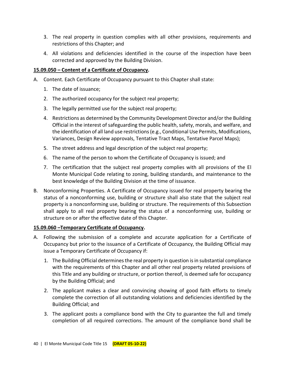- 3. The real property in question complies with all other provisions, requirements and restrictions of this Chapter; and
- 4. All violations and deficiencies identified in the course of the inspection have been corrected and approved by the Building Division.

### **15.09.050 – Content of a Certificate of Occupancy***.*

- A. Content. Each Certificate of Occupancy pursuant to this Chapter shall state:
	- 1. The date of issuance;
	- 2. The authorized occupancy for the subject real property;
	- 3. The legally permitted use for the subject real property;
	- 4. Restrictions as determined by the Community Development Director and/or the Building Official in the interest of safeguarding the public health, safety, morals, and welfare, and the identification of all land use restrictions (e.g., Conditional Use Permits, Modifications, Variances, Design Review approvals, Tentative Tract Maps, Tentative Parcel Maps);
	- 5. The street address and legal description of the subject real property;
	- 6. The name of the person to whom the Certificate of Occupancy is issued; and
	- 7. The certification that the subject real property complies with all provisions of the El Monte Municipal Code relating to zoning, building standards, and maintenance to the best knowledge of the Building Division at the time of issuance.
- B. Nonconforming Properties. A Certificate of Occupancy issued for real property bearing the status of a nonconforming use, building or structure shall also state that the subject real property is a nonconforming use, building or structure. The requirements of this Subsection shall apply to all real property bearing the status of a nonconforming use, building or structure on or after the effective date of this Chapter.

#### **15.09.060 –Temporary Certificate of Occupancy.**

- A. Following the submission of a complete and accurate application for a Certificate of Occupancy but prior to the issuance of a Certificate of Occupancy, the Building Official may issue a Temporary Certificate of Occupancy if:
	- 1. The Building Official determines the real property in question is in substantial compliance with the requirements of this Chapter and all other real property related provisions of this Title and any building or structure, or portion thereof, is deemed safe for occupancy by the Building Official; and
	- 2. The applicant makes a clear and convincing showing of good faith efforts to timely complete the correction of all outstanding violations and deficiencies identified by the Building Official; and
	- 3. The applicant posts a compliance bond with the City to guarantee the full and timely completion of all required corrections. The amount of the compliance bond shall be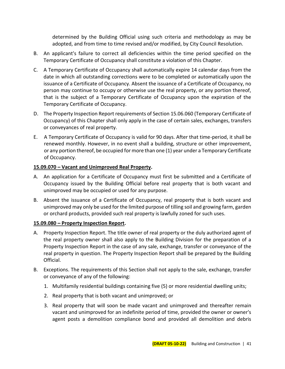determined by the Building Official using such criteria and methodology as may be adopted, and from time to time revised and/or modified, by City Council Resolution.

- B. An applicant's failure to correct all deficiencies within the time period specified on the Temporary Certificate of Occupancy shall constitute a violation of this Chapter.
- C. A Temporary Certificate of Occupancy shall automatically expire 14 calendar days from the date in which all outstanding corrections were to be completed or automatically upon the issuance of a Certificate of Occupancy. Absent the issuance of a Certificate of Occupancy, no person may continue to occupy or otherwise use the real property, or any portion thereof, that is the subject of a Temporary Certificate of Occupancy upon the expiration of the Temporary Certificate of Occupancy.
- D. The Property Inspection Report requirements of Section 15.06.060 (Temporary Certificate of Occupancy) of this Chapter shall only apply in the case of certain sales, exchanges, transfers or conveyances of real property.
- E. A Temporary Certificate of Occupancy is valid for 90 days. After that time-period, it shall be renewed monthly. However, in no event shall a building, structure or other improvement, or any portion thereof, be occupied for more than one (1) year under a Temporary Certificate of Occupancy.

## **15.09.070 – Vacant and Unimproved Real Property.**

- A. An application for a Certificate of Occupancy must first be submitted and a Certificate of Occupancy issued by the Building Official before real property that is both vacant and unimproved may be occupied or used for any purpose.
- B. Absent the issuance of a Certificate of Occupancy, real property that is both vacant and unimproved may only be used for the limited purpose of tilling soil and growing farm, garden or orchard products, provided such real property is lawfully zoned for such uses.

## **15.09.080 – Property Inspection Report.**

- A. Property Inspection Report. The title owner of real property or the duly authorized agent of the real property owner shall also apply to the Building Division for the preparation of a Property Inspection Report in the case of any sale, exchange, transfer or conveyance of the real property in question. The Property Inspection Report shall be prepared by the Building Official.
- B. Exceptions. The requirements of this Section shall not apply to the sale, exchange, transfer or conveyance of any of the following:
	- 1. Multifamily residential buildings containing five (5) or more residential dwelling units;
	- 2. Real property that is both vacant and unimproved; or
	- 3. Real property that will soon be made vacant and unimproved and thereafter remain vacant and unimproved for an indefinite period of time, provided the owner or owner's agent posts a demolition compliance bond and provided all demolition and debris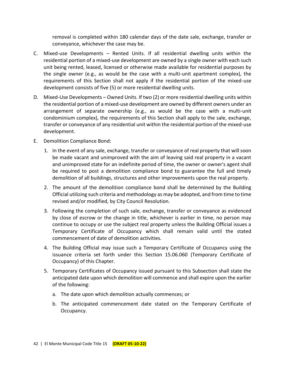removal is completed within 180 calendar days of the date sale, exchange, transfer or conveyance, whichever the case may be.

- C. Mixed-use Developments Rented Units. If all residential dwelling units within the residential portion of a mixed-use development are owned by a single owner with each such unit being rented, leased, licensed or otherwise made available for residential purposes by the single owner (e.g., as would be the case with a multi-unit apartment complex), the requirements of this Section shall not apply if the residential portion of the mixed-use development consists of five (5) or more residential dwelling units.
- D. Mixed-Use Developments Owned Units. If two (2) or more residential dwelling units within the residential portion of a mixed-use development are owned by different owners under an arrangement of separate ownership (e.g., as would be the case with a multi-unit condominium complex), the requirements of this Section shall apply to the sale, exchange, transfer or conveyance of any residential unit within the residential portion of the mixed-use development.
- E. Demolition Compliance Bond:
	- 1. In the event of any sale, exchange, transfer or conveyance of real property that will soon be made vacant and unimproved with the aim of leaving said real property in a vacant and unimproved state for an indefinite period of time, the owner or owner's agent shall be required to post a demolition compliance bond to guarantee the full and timely demolition of all buildings, structures and other improvements upon the real property.
	- 2. The amount of the demolition compliance bond shall be determined by the Building Official utilizing such criteria and methodology as may be adopted, and from time to time revised and/or modified, by City Council Resolution.
	- 3. Following the completion of such sale, exchange, transfer or conveyance as evidenced by close of escrow or the change in title, whichever is earlier in time, no person may continue to occupy or use the subject real property unless the Building Official issues a Temporary Certificate of Occupancy which shall remain valid until the stated commencement of date of demolition activities.
	- 4. The Building Official may issue such a Temporary Certificate of Occupancy using the issuance criteria set forth under this Section 15.06.060 (Temporary Certificate of Occupancy) of this Chapter.
	- 5. Temporary Certificates of Occupancy issued pursuant to this Subsection shall state the anticipated date upon which demolition will commence and shall expire upon the earlier of the following:
		- a. The date upon which demolition actually commences; or
		- b. The anticipated commencement date stated on the Temporary Certificate of Occupancy.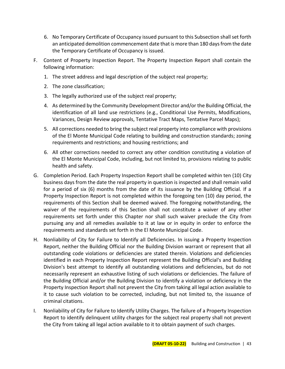- 6. No Temporary Certificate of Occupancy issued pursuant to this Subsection shall set forth an anticipated demolition commencement date that is more than 180 days from the date the Temporary Certificate of Occupancy is issued.
- F. Content of Property Inspection Report. The Property Inspection Report shall contain the following information:
	- 1. The street address and legal description of the subject real property;
	- 2. The zone classification;
	- 3. The legally authorized use of the subject real property;
	- 4. As determined by the Community Development Director and/or the Building Official, the identification of all land use restrictions (e.g., Conditional Use Permits, Modifications, Variances, Design Review approvals, Tentative Tract Maps, Tentative Parcel Maps);
	- 5. All corrections needed to bring the subject real property into compliance with provisions of the El Monte Municipal Code relating to building and construction standards; zoning requirements and restrictions; and housing restrictions; and
	- 6. All other corrections needed to correct any other condition constituting a violation of the El Monte Municipal Code, including, but not limited to, provisions relating to public health and safety.
- G. Completion Period. Each Property Inspection Report shall be completed within ten (10) City business days from the date the real property in question is inspected and shall remain valid for a period of six (6) months from the date of its issuance by the Building Official. If a Property Inspection Report is not completed within the foregoing ten (10) day period, the requirements of this Section shall be deemed waived. The foregoing notwithstanding, the waiver of the requirements of this Section shall not constitute a waiver of any other requirements set forth under this Chapter nor shall such waiver preclude the City from pursuing any and all remedies available to it at law or in equity in order to enforce the requirements and standards set forth in the El Monte Municipal Code.
- H. Nonliability of City for Failure to Identify all Deficiencies. In issuing a Property Inspection Report, neither the Building Official nor the Building Division warrant or represent that all outstanding code violations or deficiencies are stated therein. Violations and deficiencies identified in each Property Inspection Report represent the Building Official's and Building Division's best attempt to identify all outstanding violations and deficiencies, but do not necessarily represent an exhaustive listing of such violations or deficiencies. The failure of the Building Official and/or the Building Division to identify a violation or deficiency in the Property Inspection Report shall not prevent the City from taking all legal action available to it to cause such violation to be corrected, including, but not limited to, the issuance of criminal citations.
- I. Nonliability of City for Failure to Identify Utility Charges. The failure of a Property Inspection Report to identify delinquent utility charges for the subject real property shall not prevent the City from taking all legal action available to it to obtain payment of such charges.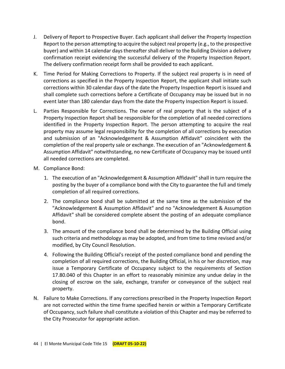- J. Delivery of Report to Prospective Buyer. Each applicant shall deliver the Property Inspection Report to the person attempting to acquire the subject real property (e.g., to the prospective buyer) and within 14 calendar days thereafter shall deliver to the Building Division a delivery confirmation receipt evidencing the successful delivery of the Property Inspection Report. The delivery confirmation receipt form shall be provided to each applicant.
- K. Time Period for Making Corrections to Property. If the subject real property is in need of corrections as specified in the Property Inspection Report, the applicant shall initiate such corrections within 30 calendar days of the date the Property Inspection Report is issued and shall complete such corrections before a Certificate of Occupancy may be issued but in no event later than 180 calendar days from the date the Property Inspection Report is issued.
- L. Parties Responsible for Corrections. The owner of real property that is the subject of a Property Inspection Report shall be responsible for the completion of all needed corrections identified in the Property Inspection Report. The person attempting to acquire the real property may assume legal responsibility for the completion of all corrections by execution and submission of an "Acknowledgement & Assumption Affidavit" coincident with the completion of the real property sale or exchange. The execution of an "Acknowledgement & Assumption Affidavit" notwithstanding, no new Certificate of Occupancy may be issued until all needed corrections are completed.
- M. Compliance Bond:
	- 1. The execution of an "Acknowledgement & Assumption Affidavit" shall in turn require the posting by the buyer of a compliance bond with the City to guarantee the full and timely completion of all required corrections.
	- 2. The compliance bond shall be submitted at the same time as the submission of the "Acknowledgement & Assumption Affidavit" and no "Acknowledgement & Assumption Affidavit" shall be considered complete absent the posting of an adequate compliance bond.
	- 3. The amount of the compliance bond shall be determined by the Building Official using such criteria and methodology as may be adopted, and from time to time revised and/or modified, by City Council Resolution.
	- 4. Following the Building Official's receipt of the posted compliance bond and pending the completion of all required corrections, the Building Official, in his or her discretion, may issue a Temporary Certificate of Occupancy subject to the requirements of Section 17.80.040 of this Chapter in an effort to reasonably minimize any undue delay in the closing of escrow on the sale, exchange, transfer or conveyance of the subject real property.
- N. Failure to Make Corrections. If any corrections prescribed in the Property Inspection Report are not corrected within the time frame specified herein or within a Temporary Certificate of Occupancy, such failure shall constitute a violation of this Chapter and may be referred to the City Prosecutor for appropriate action.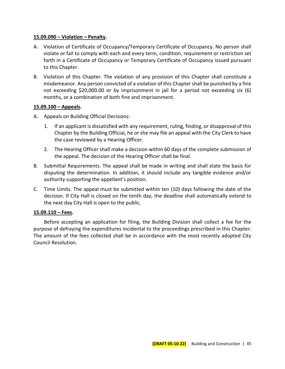#### **15.09.090 – Violation – Penalty.**

- A. Violation of Certificate of Occupancy/Temporary Certificate of Occupancy. No person shall violate or fail to comply with each and every term, condition, requirement or restriction set forth in a Certificate of Occupancy or Temporary Certificate of Occupancy issued pursuant to this Chapter.
- B. Violation of this Chapter. The violation of any provision of this Chapter shall constitute a misdemeanor. Any person convicted of a violation of this Chapter shall be punished by a fine not exceeding \$20,000.00 or by imprisonment in jail for a period not exceeding six (6) months, or a combination of both fine and imprisonment.

#### **15.09.100 – Appeals.**

- A. Appeals on Building Official Decisions:
	- 1. If an applicant is dissatisfied with any requirement, ruling, finding, or disapproval of this Chapter by the Building Official, he or she may file an appeal with the City Clerk to have the case reviewed by a Hearing Officer.
	- 2. The Hearing Officer shall make a decision within 60 days of the complete submission of the appeal. The decision of the Hearing Officer shall be final.
- B. Submittal Requirements. The appeal shall be made in writing and shall state the basis for disputing the determination. In addition, it should include any tangible evidence and/or authority supporting the appellant's position.
- C. Time Limits. The appeal must be submitted within ten (10) days following the date of the decision. If City Hall is closed on the tenth day, the deadline shall automatically extend to the next day City Hall is open to the public.

#### **15.09.110 – Fees.**

Before accepting an application for filing, the Building Division shall collect a fee for the purpose of defraying the expenditures incidental to the proceedings prescribed in this Chapter. The amount of the fees collected shall be in accordance with the most recently adopted City Council Resolution.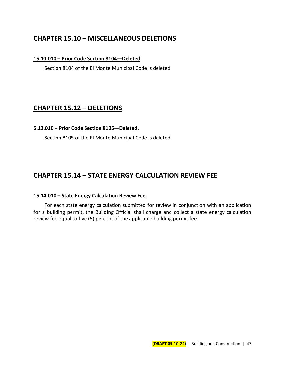# **CHAPTER 15.10 – MISCELLANEOUS DELETIONS**

## **15.10.010 – Prior Code Section 8104—Deleted.**

Section 8104 of the El Monte Municipal Code is deleted.

# **CHAPTER 15.12 – DELETIONS**

### **5.12.010 – Prior Code Section 8105—Deleted.**

Section 8105 of the El Monte Municipal Code is deleted.

# **CHAPTER 15.14 – STATE ENERGY CALCULATION REVIEW FEE**

#### **15.14.010 – State Energy Calculation Review Fee.**

For each state energy calculation submitted for review in conjunction with an application for a building permit, the Building Official shall charge and collect a state energy calculation review fee equal to five (5) percent of the applicable building permit fee.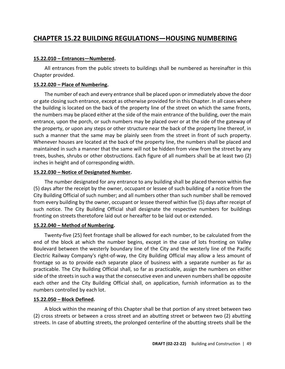# **CHAPTER 15.22 BUILDING REGULATIONS—HOUSING NUMBERING**

#### **15.22.010 – Entrances—Numbered.**

All entrances from the public streets to buildings shall be numbered as hereinafter in this Chapter provided.

#### **15.22.020 – Place of Numbering.**

The number of each and every entrance shall be placed upon or immediately above the door or gate closing such entrance, except as otherwise provided for in this Chapter. In all cases where the building is located on the back of the property line of the street on which the same fronts, the numbers may be placed either at the side of the main entrance of the building, over the main entrance, upon the porch, or such numbers may be placed over or at the side of the gateway of the property, or upon any steps or other structure near the back of the property line thereof, in such a manner that the same may be plainly seen from the street in front of such property. Whenever houses are located at the back of the property line, the numbers shall be placed and maintained in such a manner that the same will not be hidden from view from the street by any trees, bushes, shrubs or other obstructions. Each figure of all numbers shall be at least two (2) inches in height and of corresponding width.

#### **15.22.030 – Notice of Designated Number.**

The number designated for any entrance to any building shall be placed thereon within five (5) days after the receipt by the owner, occupant or lessee of such building of a notice from the City Building Official of such number; and all numbers other than such number shall be removed from every building by the owner, occupant or lessee thereof within five (5) days after receipt of such notice. The City Building Official shall designate the respective numbers for buildings fronting on streets theretofore laid out or hereafter to be laid out or extended.

#### **15.22.040 – Method of Numbering.**

Twenty-five (25) feet frontage shall be allowed for each number, to be calculated from the end of the block at which the number begins, except in the case of lots fronting on Valley Boulevard between the westerly boundary line of the City and the westerly line of the Pacific Electric Railway Company's right-of-way, the City Building Official may allow a less amount of frontage so as to provide each separate place of business with a separate number as far as practicable. The City Building Official shall, so far as practicable, assign the numbers on either side of the streets in such a way that the consecutive even and uneven numbers shall be opposite each other and the City Building Official shall, on application, furnish information as to the numbers controlled by each lot.

#### **15.22.050 – Block Defined.**

A block within the meaning of this Chapter shall be that portion of any street between two (2) cross streets or between a cross street and an abutting street or between two (2) abutting streets. In case of abutting streets, the prolonged centerline of the abutting streets shall be the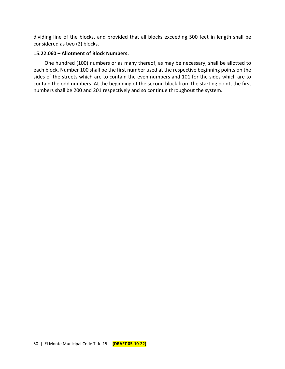dividing line of the blocks, and provided that all blocks exceeding 500 feet in length shall be considered as two (2) blocks.

#### **15.22.060 – Allotment of Block Numbers.**

One hundred (100) numbers or as many thereof, as may be necessary, shall be allotted to each block. Number 100 shall be the first number used at the respective beginning points on the sides of the streets which are to contain the even numbers and 101 for the sides which are to contain the odd numbers. At the beginning of the second block from the starting point, the first numbers shall be 200 and 201 respectively and so continue throughout the system.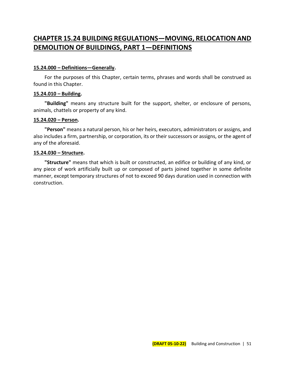# **CHAPTER 15.24 BUILDING REGULATIONS—MOVING, RELOCATION AND DEMOLITION OF BUILDINGS, PART 1—DEFINITIONS**

#### **15.24.000 – Definitions—Generally.**

For the purposes of this Chapter, certain terms, phrases and words shall be construed as found in this Chapter.

#### **15.24.010 – Building.**

**"Building"** means any structure built for the support, shelter, or enclosure of persons, animals, chattels or property of any kind.

#### **15.24.020 – Person.**

**"Person"** means a natural person, his or her heirs, executors, administrators or assigns, and also includes a firm, partnership, or corporation, its or their successors or assigns, or the agent of any of the aforesaid.

#### **15.24.030 – Structure.**

**"Structure"** means that which is built or constructed, an edifice or building of any kind, or any piece of work artificially built up or composed of parts joined together in some definite manner, except temporary structures of not to exceed 90 days duration used in connection with construction.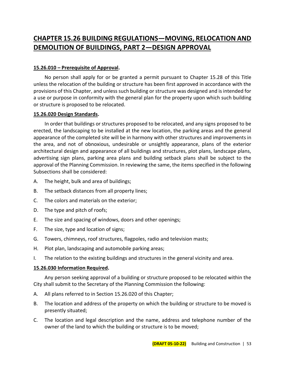# **CHAPTER 15.26 BUILDING REGULATIONS—MOVING, RELOCATION AND DEMOLITION OF BUILDINGS, PART 2—DESIGN APPROVAL**

### **15.26.010 – Prerequisite of Approval.**

No person shall apply for or be granted a permit pursuant to Chapter 15.28 of this Title unless the relocation of the building or structure has been first approved in accordance with the provisions of this Chapter, and unless such building or structure was designed and is intended for a use or purpose in conformity with the general plan for the property upon which such building or structure is proposed to be relocated.

#### **15.26.020 Design Standards.**

In order that buildings or structures proposed to be relocated, and any signs proposed to be erected, the landscaping to be installed at the new location, the parking areas and the general appearance of the completed site will be in harmony with other structures and improvements in the area, and not of obnoxious, undesirable or unsightly appearance, plans of the exterior architectural design and appearance of all buildings and structures, plot plans, landscape plans, advertising sign plans, parking area plans and building setback plans shall be subject to the approval of the Planning Commission. In reviewing the same, the items specified in the following Subsections shall be considered:

- A. The height, bulk and area of buildings;
- B. The setback distances from all property lines;
- C. The colors and materials on the exterior;
- D. The type and pitch of roofs;
- E. The size and spacing of windows, doors and other openings;
- F. The size, type and location of signs;
- G. Towers, chimneys, roof structures, flagpoles, radio and television masts;
- H. Plot plan, landscaping and automobile parking areas;
- I. The relation to the existing buildings and structures in the general vicinity and area.

#### **15.26.030 Information Required.**

Any person seeking approval of a building or structure proposed to be relocated within the City shall submit to the Secretary of the Planning Commission the following:

- A. All plans referred to in Section 15.26.020 of this Chapter;
- B. The location and address of the property on which the building or structure to be moved is presently situated;
- C. The location and legal description and the name, address and telephone number of the owner of the land to which the building or structure is to be moved;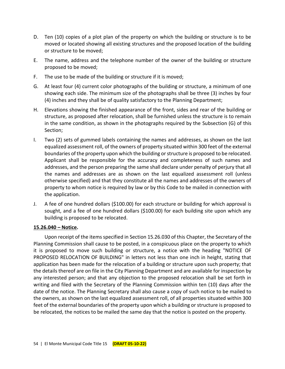- D. Ten (10) copies of a plot plan of the property on which the building or structure is to be moved or located showing all existing structures and the proposed location of the building or structure to be moved;
- E. The name, address and the telephone number of the owner of the building or structure proposed to be moved;
- F. The use to be made of the building or structure if it is moved;
- G. At least four (4) current color photographs of the building or structure, a minimum of one showing each side. The minimum size of the photographs shall be three (3) inches by four (4) inches and they shall be of quality satisfactory to the Planning Department;
- H. Elevations showing the finished appearance of the front, sides and rear of the building or structure, as proposed after relocation, shall be furnished unless the structure is to remain in the same condition, as shown in the photographs required by the Subsection (G) of this Section;
- I. Two (2) sets of gummed labels containing the names and addresses, as shown on the last equalized assessment roll, of the owners of property situated within 300 feet of the external boundaries of the property upon which the building or structure is proposed to be relocated. Applicant shall be responsible for the accuracy and completeness of such names and addresses, and the person preparing the same shall declare under penalty of perjury that all the names and addresses are as shown on the last equalized assessment roll (unless otherwise specified) and that they constitute all the names and addresses of the owners of property to whom notice is required by law or by this Code to be mailed in connection with the application.
- J. A fee of one hundred dollars (\$100.00) for each structure or building for which approval is sought, and a fee of one hundred dollars (\$100.00) for each building site upon which any building is proposed to be relocated.

#### **15.26.040 – Notice.**

Upon receipt of the items specified in Section 15.26.030 of this Chapter, the Secretary of the Planning Commission shall cause to be posted, in a conspicuous place on the property to which it is proposed to move such building or structure, a notice with the heading "NOTICE OF PROPOSED RELOCATION OF BUILDING" in letters not less than one inch in height, stating that application has been made for the relocation of a building or structure upon such property; that the details thereof are on file in the City Planning Department and are available for inspection by any interested person; and that any objection to the proposed relocation shall be set forth in writing and filed with the Secretary of the Planning Commission within ten (10) days after the date of the notice. The Planning Secretary shall also cause a copy of such notice to be mailed to the owners, as shown on the last equalized assessment roll, of all properties situated within 300 feet of the external boundaries of the property upon which a building or structure is proposed to be relocated, the notices to be mailed the same day that the notice is posted on the property.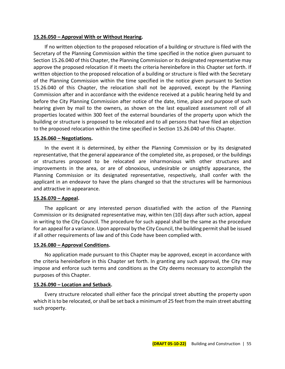#### **15.26.050 – Approval With or Without Hearing.**

If no written objection to the proposed relocation of a building or structure is filed with the Secretary of the Planning Commission within the time specified in the notice given pursuant to Section 15.26.040 of this Chapter, the Planning Commission or its designated representative may approve the proposed relocation if it meets the criteria hereinbefore in this Chapter set forth. If written objection to the proposed relocation of a building or structure is filed with the Secretary of the Planning Commission within the time specified in the notice given pursuant to Section 15.26.040 of this Chapter, the relocation shall not be approved, except by the Planning Commission after and in accordance with the evidence received at a public hearing held by and before the City Planning Commission after notice of the date, time, place and purpose of such hearing given by mail to the owners, as shown on the last equalized assessment roll of all properties located within 300 feet of the external boundaries of the property upon which the building or structure is proposed to be relocated and to all persons that have filed an objection to the proposed relocation within the time specified in Section 15.26.040 of this Chapter.

#### **15.26.060 – Negotiations.**

In the event it is determined, by either the Planning Commission or by its designated representative, that the general appearance of the completed site, as proposed, or the buildings or structures proposed to be relocated are inharmonious with other structures and improvements in the area, or are of obnoxious, undesirable or unsightly appearance, the Planning Commission or its designated representative, respectively, shall confer with the applicant in an endeavor to have the plans changed so that the structures will be harmonious and attractive in appearance.

#### **15.26.070 – Appeal.**

The applicant or any interested person dissatisfied with the action of the Planning Commission or its designated representative may, within ten (10) days after such action, appeal in writing to the City Council. The procedure for such appeal shall be the same as the procedure for an appeal for a variance. Upon approval by the City Council, the building permit shall be issued if all other requirements of law and of this Code have been complied with.

#### **15.26.080 – Approval Conditions.**

No application made pursuant to this Chapter may be approved, except in accordance with the criteria hereinbefore in this Chapter set forth. In granting any such approval, the City may impose and enforce such terms and conditions as the City deems necessary to accomplish the purposes of this Chapter.

#### **15.26.090 – Location and Setback.**

Every structure relocated shall either face the principal street abutting the property upon which it is to be relocated, or shall be set back a minimum of 25 feet from the main street abutting such property.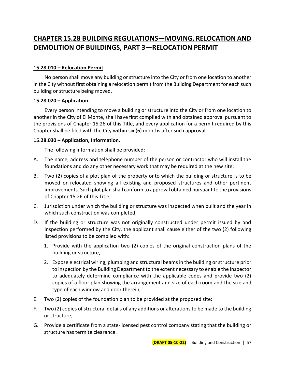# **CHAPTER 15.28 BUILDING REGULATIONS—MOVING, RELOCATION AND DEMOLITION OF BUILDINGS, PART 3—RELOCATION PERMIT**

### **15.28.010 – Relocation Permit.**

No person shall move any building or structure into the City or from one location to another in the City without first obtaining a relocation permit from the Building Department for each such building or structure being moved.

#### **15.28.020 – Application.**

Every person intending to move a building or structure into the City or from one location to another in the City of El Monte, shall have first complied with and obtained approval pursuant to the provisions of Chapter 15.26 of this Title, and every application for a permit required by this Chapter shall be filed with the City within six (6) months after such approval.

#### **15.28.030 – Application, Information.**

The following information shall be provided:

- A. The name, address and telephone number of the person or contractor who will install the foundations and do any other necessary work that may be required at the new site;
- B. Two (2) copies of a plot plan of the property onto which the building or structure is to be moved or relocated showing all existing and proposed structures and other pertinent improvements. Such plot plan shall conform to approval obtained pursuant to the provisions of Chapter 15.26 of this Title;
- C. Jurisdiction under which the building or structure was inspected when built and the year in which such construction was completed;
- D. If the building or structure was not originally constructed under permit issued by and inspection performed by the City, the applicant shall cause either of the two (2) following listed provisions to be complied with:
	- 1. Provide with the application two (2) copies of the original construction plans of the building or structure,
	- 2. Expose electrical wiring, plumbing and structural beams in the building or structure prior to inspection by the Building Department to the extent necessary to enable the Inspector to adequately determine compliance with the applicable codes and provide two (2) copies of a floor plan showing the arrangement and size of each room and the size and type of each window and door therein;
- E. Two (2) copies of the foundation plan to be provided at the proposed site;
- F. Two (2) copies of structural details of any additions or alterations to be made to the building or structure;
- G. Provide a certificate from a state-licensed pest control company stating that the building or structure has termite clearance.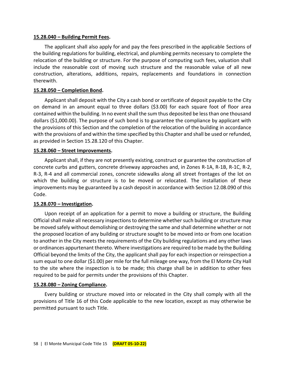#### **15.28.040 – Building Permit Fees.**

The applicant shall also apply for and pay the fees prescribed in the applicable Sections of the building regulations for building, electrical, and plumbing permits necessary to complete the relocation of the building or structure. For the purpose of computing such fees, valuation shall include the reasonable cost of moving such structure and the reasonable value of all new construction, alterations, additions, repairs, replacements and foundations in connection therewith.

#### **15.28.050 – Completion Bond.**

Applicant shall deposit with the City a cash bond or certificate of deposit payable to the City on demand in an amount equal to three dollars (\$3.00) for each square foot of floor area contained within the building. In no event shall the sum thus deposited be less than one thousand dollars (\$1,000.00). The purpose of such bond is to guarantee the compliance by applicant with the provisions of this Section and the completion of the relocation of the building in accordance with the provisions of and within the time specified by this Chapter and shall be used or refunded, as provided in Section 15.28.120 of this Chapter.

#### **15.28.060 – Street Improvements.**

Applicant shall, if they are not presently existing, construct or guarantee the construction of concrete curbs and gutters, concrete driveway approaches and, in Zones R-1A, R-1B, R-1C, R-2, R-3, R-4 and all commercial zones, concrete sidewalks along all street frontages of the lot on which the building or structure is to be moved or relocated. The installation of these improvements may be guaranteed by a cash deposit in accordance with Section 12.08.090 of this Code.

#### **15.28.070 – Investigation.**

Upon receipt of an application for a permit to move a building or structure, the Building Official shall make all necessary inspections to determine whether such building or structure may be moved safely without demolishing or destroying the same and shall determine whether or not the proposed location of any building or structure sought to be moved into or from one location to another in the City meets the requirements of the City building regulations and any other laws or ordinances appurtenant thereto. Where investigations are required to be made by the Building Official beyond the limits of the City, the applicant shall pay for each inspection or reinspection a sum equal to one dollar (\$1.00) per mile for the full mileage one way, from the El Monte City Hall to the site where the inspection is to be made; this charge shall be in addition to other fees required to be paid for permits under the provisions of this Chapter.

#### **15.28.080 – Zoning Compliance.**

Every building or structure moved into or relocated in the City shall comply with all the provisions of Title 16 of this Code applicable to the new location, except as may otherwise be permitted pursuant to such Title.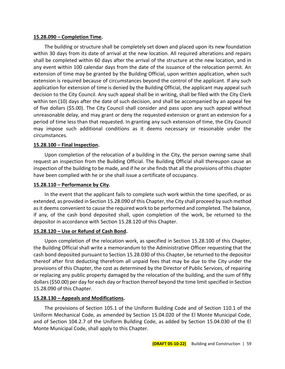#### **15.28.090 – Completion Time.**

The building or structure shall be completely set down and placed upon its new foundation within 30 days from its date of arrival at the new location. All required alterations and repairs shall be completed within 60 days after the arrival of the structure at the new location, and in any event within 100 calendar days from the date of the issuance of the relocation permit. An extension of time may be granted by the Building Official, upon written application, when such extension is required because of circumstances beyond the control of the applicant. If any such application for extension of time is denied by the Building Official, the applicant may appeal such decision to the City Council. Any such appeal shall be in writing, shall be filed with the City Clerk within ten (10) days after the date of such decision, and shall be accompanied by an appeal fee of five dollars (\$5.00). The City Council shall consider and pass upon any such appeal without unreasonable delay, and may grant or deny the requested extension or grant an extension for a period of time less than that requested. In granting any such extension of time, the City Council may impose such additional conditions as it deems necessary or reasonable under the circumstances.

#### **15.28.100 – Final Inspection.**

Upon completion of the relocation of a building in the City, the person owning same shall request an inspection from the Building Official. The Building Official shall thereupon cause an inspection of the building to be made, and if he or she finds that all the provisions of this chapter have been complied with he or she shall issue a certificate of occupancy.

#### **15.28.110 – Performance by City.**

In the event that the applicant fails to complete such work within the time specified, or as extended, as provided in Section 15.28.090 of this Chapter, the City shall proceed by such method as it deems convenient to cause the required work to be performed and completed. The balance, if any, of the cash bond deposited shall, upon completion of the work, be returned to the depositor in accordance with Section 15.28.120 of this Chapter.

#### **15.28.120 – Use or Refund of Cash Bond.**

Upon completion of the relocation work, as specified in Section 15.28.100 of this Chapter, the Building Official shall write a memorandum to the Administrative Officer requesting that the cash bond deposited pursuant to Section 15.28.030 of this Chapter, be returned to the depositor thereof after first deducting therefrom all unpaid fees that may be due to the City under the provisions of this Chapter, the cost as determined by the Director of Public Services, of repairing or replacing any public property damaged by the relocation of the building, and the sum of fifty dollars (\$50.00) per day for each day or fraction thereof beyond the time limit specified in Section 15.28.090 of this Chapter.

#### **15.28.130 – Appeals and Modifications.**

The provisions of Section 105.1 of the Uniform Building Code and of Section 110.1 of the Uniform Mechanical Code, as amended by Section 15.04.020 of the El Monte Municipal Code, and of Section 104.2.7 of the Uniform Building Code, as added by Section 15.04.030 of the El Monte Municipal Code, shall apply to this Chapter.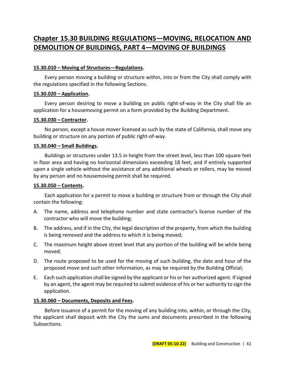# **Chapter 15.30 BUILDING REGULATIONS—MOVING, RELOCATION AND DEMOLITION OF BUILDINGS, PART 4—MOVING OF BUILDINGS**

#### **15.30.010 – Moving of Structures—Regulations.**

Every person moving a building or structure within, into or from the City shall comply with the regulations specified in the following Sections.

#### **15.30.020 – Application.**

Every person desiring to move a building on public right-of-way in the City shall file an application for a housemoving permit on a form provided by the Building Department.

#### **15.30.030 – Contractor.**

No person, except a house mover licensed as such by the state of California, shall move any building or structure on any portion of public right-of-way.

#### **15.30.040 – Small Buildings.**

Buildings or structures under 13.5 in height from the street level, less than 100 square feet in floor area and having no horizontal dimensions exceeding 18 feet, and if entirely supported upon a single vehicle without the assistance of any additional wheels or rollers, may be moved by any person and no housemoving permit shall be required.

#### **15.30.050 – Contents.**

Each application for a permit to move a building or structure from or through the City shall contain the following:

- A. The name, address and telephone number and state contractor's license number of the contractor who will move the building;
- B. The address, and if in the City, the legal description of the property, from which the building is being removed and the address to which it is being moved;
- C. The maximum height above street level that any portion of the building will be while being moved;
- D. The route proposed to be used for the moving of such building, the date and hour of the proposed move and such other information, as may be required by the Building Official;
- E. Each such application shall be signed by the applicant or his or her authorized agent. If signed by an agent, the agent may be required to submit evidence of his or her authority to sign the application.

#### **15.30.060 – Documents, Deposits and Fees.**

Before issuance of a permit for the moving of any building into, within, or through the City, the applicant shall deposit with the City the sums and documents prescribed in the following Subsections.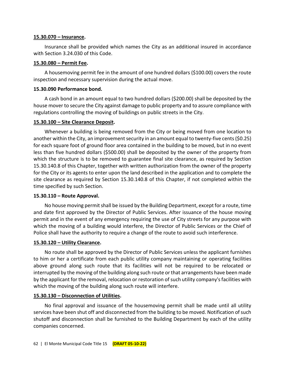#### **15.30.070 – Insurance.**

Insurance shall be provided which names the City as an additional insured in accordance with Section 3.24.030 of this Code.

#### **15.30.080 – Permit Fee.**

A housemoving permit fee in the amount of one hundred dollars (\$100.00) covers the route inspection and necessary supervision during the actual move.

#### **15.30.090 Performance bond.**

A cash bond in an amount equal to two hundred dollars (\$200.00) shall be deposited by the house mover to secure the City against damage to public property and to assure compliance with regulations controlling the moving of buildings on public streets in the City.

#### **15.30.100 – Site Clearance Deposit.**

Whenever a building is being removed from the City or being moved from one location to another within the City, an improvement security in an amount equal to twenty-five cents (\$0.25) for each square foot of ground floor area contained in the building to be moved, but in no event less than five hundred dollars (\$500.00) shall be deposited by the owner of the property from which the structure is to be removed to guarantee final site clearance, as required by Section 15.30.140.8 of this Chapter, together with written authorization from the owner of the property for the City or its agents to enter upon the land described in the application and to complete the site clearance as required by Section 15.30.140.8 of this Chapter, if not completed within the time specified by such Section.

#### **15.30.110 – Route Approval.**

No house moving permit shall be issued by the Building Department, except for a route, time and date first approved by the Director of Public Services. After issuance of the house moving permit and in the event of any emergency requiring the use of City streets for any purpose with which the moving of a building would interfere, the Director of Public Services or the Chief of Police shall have the authority to require a change of the route to avoid such interference.

#### **15.30.120 – Utility Clearance.**

No route shall be approved by the Director of Public Services unless the applicant furnishes to him or her a certificate from each public utility company maintaining or operating facilities above ground along such route that its facilities will not be required to be relocated or interrupted by the moving of the building along such route or that arrangements have been made by the applicant for the removal, relocation or restoration of such utility company's facilities with which the moving of the building along such route will interfere.

#### **15.30.130 – Disconnection of Utilities.**

No final approval and issuance of the housemoving permit shall be made until all utility services have been shut off and disconnected from the building to be moved. Notification of such shutoff and disconnection shall be furnished to the Building Department by each of the utility companies concerned.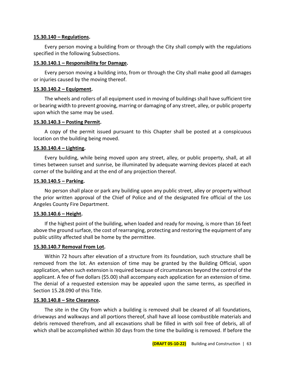#### **15.30.140 – Regulations.**

Every person moving a building from or through the City shall comply with the regulations specified in the following Subsections.

#### **15.30.140.1 – Responsibility for Damage.**

Every person moving a building into, from or through the City shall make good all damages or injuries caused by the moving thereof.

#### **15.30.140.2 – Equipment.**

The wheels and rollers of all equipment used in moving of buildings shall have sufficient tire or bearing width to prevent grooving, marring or damaging of any street, alley, or public property upon which the same may be used.

#### **15.30.140.3 – Posting Permit.**

A copy of the permit issued pursuant to this Chapter shall be posted at a conspicuous location on the building being moved.

#### **15.30.140.4 – Lighting.**

Every building, while being moved upon any street, alley, or public property, shall, at all times between sunset and sunrise, be illuminated by adequate warning devices placed at each corner of the building and at the end of any projection thereof.

#### **15.30.140.5 – Parking.**

No person shall place or park any building upon any public street, alley or property without the prior written approval of the Chief of Police and of the designated fire official of the Los Angeles County Fire Department.

#### **15.30.140.6 – Height.**

If the highest point of the building, when loaded and ready for moving, is more than 16 feet above the ground surface, the cost of rearranging, protecting and restoring the equipment of any public utility affected shall be home by the permittee.

#### **15.30.140.7 Removal From Lot.**

Within 72 hours after elevation of a structure from its foundation, such structure shall be removed from the lot. An extension of time may be granted by the Building Official, upon application, when such extension is required because of circumstances beyond the control of the applicant. A fee of five dollars (\$5.00) shall accompany each application for an extension of time. The denial of a requested extension may be appealed upon the same terms, as specified in Section 15.28.090 of this Title.

#### **15.30.140.8 – Site Clearance.**

The site in the City from which a building is removed shall be cleared of all foundations, driveways and walkways and all portions thereof, shall have all loose combustible materials and debris removed therefrom, and all excavations shall be filled in with soil free of debris, all of which shall be accomplished within 30 days from the time the building is removed. If before the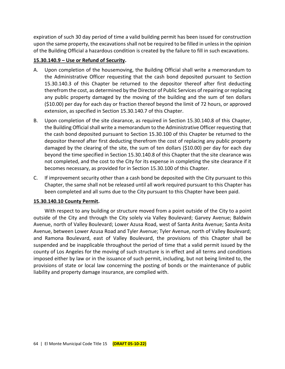expiration of such 30 day period of time a valid building permit has been issued for construction upon the same property, the excavations shall not be required to be filled in unless in the opinion of the Building Official a hazardous condition is created by the failure to fill in such excavations.

## **15.30.140.9 – Use or Refund of Security.**

- A. Upon completion of the housemoving, the Building Official shall write a memorandum to the Administrative Officer requesting that the cash bond deposited pursuant to Section 15.30.140.3 of this Chapter be returned to the depositor thereof after first deducting therefrom the cost, as determined by the Director of Public Services of repairing or replacing any public property damaged by the moving of the building and the sum of ten dollars (\$10.00) per day for each day or fraction thereof beyond the limit of 72 hours, or approved extension, as specified in Section 15.30.140.7 of this Chapter.
- B. Upon completion of the site clearance, as required in Section 15.30.140.8 of this Chapter, the Building Official shall write a memorandum to the Administrative Officer requesting that the cash bond deposited pursuant to Section 15.30.100 of this Chapter be returned to the depositor thereof after first deducting therefrom the cost of replacing any public property damaged by the clearing of the site, the sum of ten dollars (\$10.00) per day for each day beyond the time specified in Section 15.30.140.8 of this Chapter that the site clearance was not completed, and the cost to the City for its expense in completing the site clearance if it becomes necessary, as provided for in Section 15.30.100 of this Chapter.
- C. If improvement security other than a cash bond be deposited with the City pursuant to this Chapter, the same shall not be released until all work required pursuant to this Chapter has been completed and all sums due to the City pursuant to this Chapter have been paid.

## **15.30.140.10 County Permit.**

With respect to any building or structure moved from a point outside of the City to a point outside of the City and through the City solely via Valley Boulevard; Garvey Avenue; Baldwin Avenue, north of Valley Boulevard; Lower Azusa Road, west of Santa Anita Avenue; Santa Anita Avenue, between Lower Azusa Road and Tyler Avenue; Tyler Avenue, north of Valley Boulevard; and Ramona Boulevard, east of Valley Boulevard, the provisions of this Chapter shall be suspended and be inapplicable throughout the period of time that a valid permit issued by the county of Los Angeles for the moving of such structure is in effect and all terms and conditions imposed either by law or in the issuance of such permit, including, but not being limited to, the provisions of state or local law concerning the posting of bonds or the maintenance of public liability and property damage insurance, are complied with.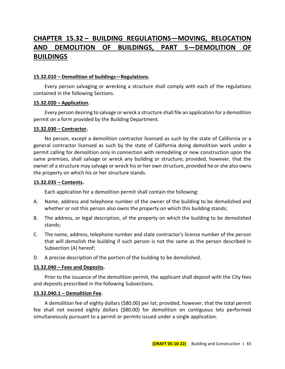# **CHAPTER 15.32 – BUILDING REGULATIONS—MOVING, RELOCATION AND DEMOLITION OF BUILDINGS, PART 5—DEMOLITION OF BUILDINGS**

#### **15.32.010 – Demolition of buildings—Regulations.**

Every person salvaging or wrecking a structure shall comply with each of the regulations contained in the following Sections.

#### **15.32.020 – Application.**

Every person desiring to salvage or wreck a structure shall file an application for a demolition permit on a form provided by the Building Department.

#### **15.32.030 – Contractor.**

No person, except a demolition contractor licensed as such by the state of California or a general contractor licensed as such by the state of California doing demolition work under a permit calling for demolition only in connection with remodeling or new construction upon the same premises, shall salvage or wreck any building or structure; provided, however, that the owner of a structure may salvage or wreck his or her own structure, provided he or she also owns the property on which his or her structure stands.

#### **15.32.035 – Contents.**

Each application for a demolition permit shall contain the following:

- A. Name, address and telephone number of the owner of the building to be demolished and whether or not this person also owns the property on which this building stands;
- B. The address, or legal description, of the property on which the building to be demolished stands;
- C. The name, address, telephone number and state contractor's license number of the person that will demolish the building if such person is not the same as the person described in Subsection (A) hereof;
- D. A precise description of the portion of the building to be demolished.

#### **15.32.040 – Fees and Deposits.**

Prior to the issuance of the demolition permit, the applicant shall deposit with the City fees and deposits prescribed in the following Subsections.

#### **15.32.040.1 – Demolition Fee.**

A demolition fee of eighty dollars (\$80.00) per lot; provided, however, that the total permit fee shall not exceed eighty dollars (\$80.00) for demolition on contiguous lots performed simultaneously pursuant to a permit or permits issued under a single application.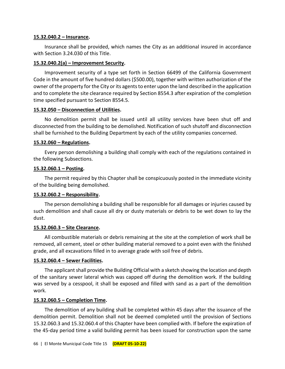#### **15.32.040.2 – Insurance.**

Insurance shall be provided, which names the City as an additional insured in accordance with Section 3.24.030 of this Title.

#### **15.32.040.2(a) – Improvement Security.**

Improvement security of a type set forth in Section 66499 of the California Government Code in the amount of five hundred dollars (\$500.00), together with written authorization of the owner of the property for the City or its agents to enter upon the land described in the application and to complete the site clearance required by Section 8554.3 after expiration of the completion time specified pursuant to Section 8554.5.

#### **15.32.050 – Disconnection of Utilities.**

No demolition permit shall be issued until all utility services have been shut off and disconnected from the building to be demolished. Notification of such shutoff and disconnection shall be furnished to the Building Department by each of the utility companies concerned.

#### **15.32.060 – Regulations.**

Every person demolishing a building shall comply with each of the regulations contained in the following Subsections.

#### **15.32.060.1 – Posting.**

The permit required by this Chapter shall be conspicuously posted in the immediate vicinity of the building being demolished.

#### **15.32.060.2 – Responsibility.**

The person demolishing a building shall be responsible for all damages or injuries caused by such demolition and shall cause all dry or dusty materials or debris to be wet down to lay the dust.

#### **15.32.060.3 – Site Clearance.**

All combustible materials or debris remaining at the site at the completion of work shall be removed, all cement, steel or other building material removed to a point even with the finished grade, and all excavations filled in to average grade with soil free of debris.

#### **15.32.060.4 – Sewer Facilities.**

The applicant shall provide the Building Official with a sketch showing the location and depth of the sanitary sewer lateral which was capped off during the demolition work. If the building was served by a cesspool, it shall be exposed and filled with sand as a part of the demolition work.

#### **15.32.060.5 – Completion Time.**

The demolition of any building shall be completed within 45 days after the issuance of the demolition permit. Demolition shall not be deemed completed until the provision of Sections 15.32.060.3 and 15.32.060.4 of this Chapter have been complied with. If before the expiration of the 45-day period time a valid building permit has been issued for construction upon the same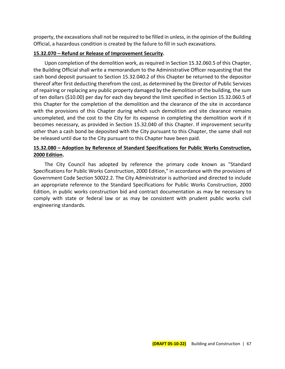property, the excavations shall not be required to be filled in unless, in the opinion of the Building Official, a hazardous condition is created by the failure to fill in such excavations.

## **15.32.070 – Refund or Release of Improvement Security.**

Upon completion of the demolition work, as required in Section 15.32.060.5 of this Chapter, the Building Official shall write a memorandum to the Administrative Officer requesting that the cash bond deposit pursuant to Section 15.32.040.2 of this Chapter be returned to the depositor thereof after first deducting therefrom the cost, as determined by the Director of Public Services of repairing or replacing any public property damaged by the demolition of the building, the sum of ten dollars (\$10.00) per day for each day beyond the limit specified in Section 15.32.060.5 of this Chapter for the completion of the demolition and the clearance of the site in accordance with the provisions of this Chapter during which such demolition and site clearance remains uncompleted, and the cost to the City for its expense in completing the demolition work if it becomes necessary, as provided in Section 15.32.040 of this Chapter. If improvement security other than a cash bond be deposited with the City pursuant to this Chapter, the same shall not be released until due to the City pursuant to this Chapter have been paid.

# **15.32.080 – Adoption by Reference of Standard Specifications for Public Works Construction, 2000 Edition.**

The City Council has adopted by reference the primary code known as "Standard Specifications for Public Works Construction, 2000 Edition," in accordance with the provisions of Government Code Section 50022.2. The City Administrator is authorized and directed to include an appropriate reference to the Standard Specifications for Public Works Construction, 2000 Edition, in public works construction bid and contract documentation as may be necessary to comply with state or federal law or as may be consistent with prudent public works civil engineering standards.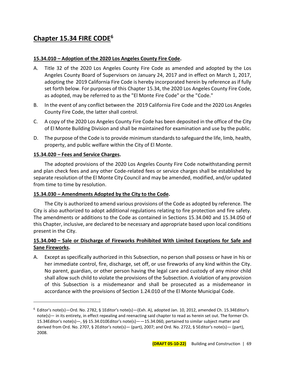# **Chapter 15.34 FIRE CODE<sup>6</sup>**

### **15.34.010 – Adoption of the 2020 Los Angeles County Fire Code.**

- A. Title 32 of the 2020 Los Angeles County Fire Code as amended and adopted by the Los Angeles County Board of Supervisors on January 24, 2017 and in effect on March 1, 2017, adopting the 2019 California Fire Code is hereby incorporated herein by reference as if fully set forth below. For purposes of this Chapter 15.34, the 2020 Los Angeles County Fire Code, as adopted, may be referred to as the "El Monte Fire Code" or the "Code."
- B. In the event of any conflict between the 2019 California Fire Code and the 2020 Los Angeles County Fire Code, the latter shall control.
- C. A copy of the 2020 Los Angeles County Fire Code has been deposited in the office of the City of El Monte Building Division and shall be maintained for examination and use by the public.
- D. The purpose of the Code is to provide minimum standards to safeguard the life, limb, health, property, and public welfare within the City of El Monte.

#### **15.34.020 – Fees and Service Charges.**

The adopted provisions of the 2020 Los Angeles County Fire Code notwithstanding permit and plan check fees and any other Code-related fees or service charges shall be established by separate resolution of the El Monte City Council and may be amended, modified, and/or updated from time to time by resolution.

#### **15.34.030 – Amendments Adopted by the City to the Code.**

The City is authorized to amend various provisions of the Code as adopted by reference. The City is also authorized to adopt additional regulations relating to fire protection and fire safety. The amendments or additions to the Code as contained in Sections 15.34.040 and 15.34.050 of this Chapter, inclusive, are declared to be necessary and appropriate based upon local conditions present in the City.

# **15.34.040 – Sale or Discharge of Fireworks Prohibited With Limited Exceptions for Safe and Sane Fireworks.**

A. Except as specifically authorized in this Subsection, no person shall possess or have in his or her immediate control, fire, discharge, set off, or use fireworks of any kind within the City. No parent, guardian, or other person having the legal care and custody of any minor child shall allow such child to violate the provisions of the Subsection. A violation of any provision of this Subsection is a misdemeanor and shall be prosecuted as a misdemeanor in accordance with the provisions of Section 1.24.010 of the El Monte Municipal Code.

<sup>6</sup> Editor's note(s)—Ord. No. 2782, § 1Editor's note(s)—(Exh. A), adopted Jan. 10, 2012, amended Ch. 15.34Editor's note(s)— in its entirety, in effect repealing and reenacting said chapter to read as herein set out. The former Ch. 15.34Editor's note(s)—, §§ 15.34.010Editor's note(s)——15.34.060, pertained to similar subject matter and derived from Ord. No. 2707, § 2Editor's note(s)— (part), 2007; and Ord. No. 2722, § 5Editor's note(s)— (part), 2008.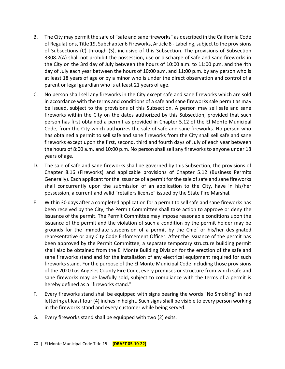- B. The City may permit the safe of "safe and sane fireworks" as described in the California Code of Regulations, Title 19, Subchapter 6 Fireworks, Article 8 - Labeling, subject to the provisions of Subsections (C) through (S), inclusive of this Subsection. The provisions of Subsection 3308.2(A) shall not prohibit the possession, use or discharge of safe and sane fireworks in the City on the 3rd day of July between the hours of 10:00 a.m. to 11:00 p.m. and the 4th day of July each year between the hours of 10:00 a.m. and 11:00 p.m. by any person who is at least 18 years of age or by a minor who is under the direct observation and control of a parent or legal guardian who is at least 21 years of age.
- C. No person shall sell any fireworks in the City except safe and sane fireworks which are sold in accordance with the terms and conditions of a safe and sane fireworks sale permit as may be issued, subject to the provisions of this Subsection. A person may sell safe and sane fireworks within the City on the dates authorized by this Subsection, provided that such person has first obtained a permit as provided in Chapter 5.12 of the El Monte Municipal Code, from the City which authorizes the sale of safe and sane fireworks. No person who has obtained a permit to sell safe and sane fireworks from the City shall sell safe and sane fireworks except upon the first, second, third and fourth days of July of each year between the hours of 8:00 a.m. and 10:00 p.m. No person shall sell any fireworks to anyone under 18 years of age.
- D. The sale of safe and sane fireworks shall be governed by this Subsection, the provisions of Chapter 8.16 (Fireworks) and applicable provisions of Chapter 5.12 (Business Permits Generally). Each applicant for the issuance of a permit for the sale of safe and sane fireworks shall concurrently upon the submission of an application to the City, have in his/her possession, a current and valid "retailers license" issued by the State Fire Marshal.
- E. Within 30 days after a completed application for a permit to sell safe and sane fireworks has been received by the City, the Permit Committee shall take action to approve or deny the issuance of the permit. The Permit Committee may impose reasonable conditions upon the issuance of the permit and the violation of such a condition by the permit holder may be grounds for the immediate suspension of a permit by the Chief or his/her designated representative or any City Code Enforcement Officer. After the issuance of the permit has been approved by the Permit Committee, a separate temporary structure building permit shall also be obtained from the El Monte Building Division for the erection of the safe and sane fireworks stand and for the installation of any electrical equipment required for such fireworks stand. For the purpose of the El Monte Municipal Code including those provisions of the 2020 Los Angeles County Fire Code, every premises or structure from which safe and sane fireworks may be lawfully sold, subject to compliance with the terms of a permit is hereby defined as a "fireworks stand."
- F. Every fireworks stand shall be equipped with signs bearing the words "No Smoking" in red lettering at least four (4) inches in height. Such signs shall be visible to every person working in the fireworks stand and every customer while being served.
- G. Every fireworks stand shall be equipped with two (2) exits.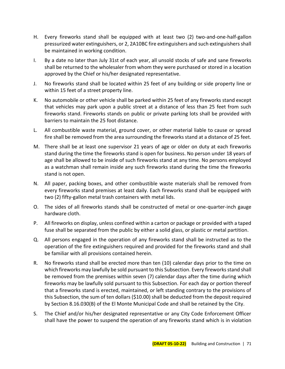- H. Every fireworks stand shall be equipped with at least two (2) two-and-one-half-gallon pressurized water extinguishers, or 2, 2A10BC fire extinguishers and such extinguishers shall be maintained in working condition.
- I. By a date no later than July 31st of each year, all unsold stocks of safe and sane fireworks shall be returned to the wholesaler from whom they were purchased or stored in a location approved by the Chief or his/her designated representative.
- J. No fireworks stand shall be located within 25 feet of any building or side property line or within 15 feet of a street property line.
- K. No automobile or other vehicle shall be parked within 25 feet of any fireworks stand except that vehicles may park upon a public street at a distance of less than 25 feet from such fireworks stand. Fireworks stands on public or private parking lots shall be provided with barriers to maintain the 25 foot distance.
- L. All combustible waste material, ground cover, or other material liable to cause or spread fire shall be removed from the area surrounding the fireworks stand at a distance of 25 feet.
- M. There shall be at least one supervisor 21 years of age or older on duty at each fireworks stand during the time the fireworks stand is open for business. No person under 18 years of age shall be allowed to be inside of such fireworks stand at any time. No persons employed as a watchman shall remain inside any such fireworks stand during the time the fireworks stand is not open.
- N. All paper, packing boxes, and other combustible waste materials shall be removed from every fireworks stand premises at least daily. Each fireworks stand shall be equipped with two (2) fifty-gallon metal trash containers with metal lids.
- O. The sides of all fireworks stands shall be constructed of metal or one-quarter-inch gauge hardware cloth.
- P. All fireworks on display, unless confined within a carton or package or provided with a taped fuse shall be separated from the public by either a solid glass, or plastic or metal partition.
- Q. All persons engaged in the operation of any fireworks stand shall be instructed as to the operation of the fire extinguishers required and provided for the fireworks stand and shall be familiar with all provisions contained herein.
- R. No fireworks stand shall be erected more than ten (10) calendar days prior to the time on which fireworks may lawfully be sold pursuant to this Subsection. Every fireworks stand shall be removed from the premises within seven (7) calendar days after the time during which fireworks may be lawfully sold pursuant to this Subsection. For each day or portion thereof that a fireworks stand is erected, maintained, or left standing contrary to the provisions of this Subsection, the sum of ten dollars (\$10.00) shall be deducted from the deposit required by Section 8.16.030(B) of the El Monte Municipal Code and shall be retained by the City.
- S. The Chief and/or his/her designated representative or any City Code Enforcement Officer shall have the power to suspend the operation of any fireworks stand which is in violation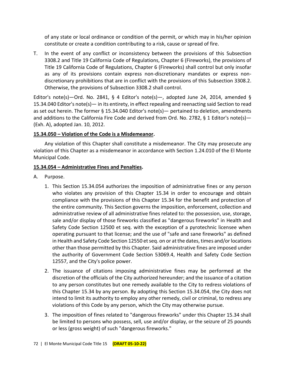of any state or local ordinance or condition of the permit, or which may in his/her opinion constitute or create a condition contributing to a risk, cause or spread of fire.

T. In the event of any conflict or inconsistency between the provisions of this Subsection 3308.2 and Title 19 California Code of Regulations, Chapter 6 (Fireworks), the provisions of Title 19 California Code of Regulations, Chapter 6 (Fireworks) shall control but only insofar as any of its provisions contain express non-discretionary mandates or express nondiscretionary prohibitions that are in conflict with the provisions of this Subsection 3308.2. Otherwise, the provisions of Subsection 3308.2 shall control.

Editor's note(s)—Ord. No. 2841, § 4 Editor's note(s)—, adopted June 24, 2014, amended § 15.34.040 Editor's note(s)— in its entirety, in effect repealing and reenacting said Section to read as set out herein. The former § 15.34.040 Editor's note(s)— pertained to deletion, amendments and additions to the California Fire Code and derived from Ord. No. 2782, § 1 Editor's note(s)-(Exh. A), adopted Jan. 10, 2012.

# **15.34.050 – Violation of the Code is a Misdemeanor.**

Any violation of this Chapter shall constitute a misdemeanor. The City may prosecute any violation of this Chapter as a misdemeanor in accordance with Section 1.24.010 of the El Monte Municipal Code.

# **15.34.054 – Administrative Fines and Penalties.**

- A. Purpose.
	- 1. This Section 15.34.054 authorizes the imposition of administrative fines or any person who violates any provision of this Chapter 15.34 in order to encourage and obtain compliance with the provisions of this Chapter 15.34 for the benefit and protection of the entire community. This Section governs the imposition, enforcement, collection and administrative review of all administrative fines related to: the possession, use, storage, sale and/or display of those fireworks classified as "dangerous fireworks" in Health and Safety Code Section 12500 et seq. with the exception of a pyrotechnic licensee when operating pursuant to that license; and the use of "safe and sane fireworks" as defined in Health and Safety Code Section 12550 et seq. on or at the dates, times and/or locations other than those permitted by this Chapter. Said administrative fines are imposed under the authority of Government Code Section 53069.4, Health and Safety Code Section 12557, and the City's police power.
	- 2. The issuance of citations imposing administrative fines may be performed at the discretion of the officials of the City authorized hereunder; and the issuance of a citation to any person constitutes but one remedy available to the City to redress violations of this Chapter 15.34 by any person. By adopting this Section 15.34.054, the City does not intend to limit its authority to employ any other remedy, civil or criminal, to redress any violations of this Code by any person, which the City may otherwise pursue.
	- 3. The imposition of fines related to "dangerous fireworks" under this Chapter 15.34 shall be limited to persons who possess, sell, use and/or display, or the seizure of 25 pounds or less (gross weight) of such "dangerous fireworks."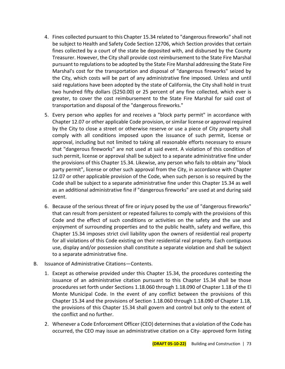- 4. Fines collected pursuant to this Chapter 15.34 related to "dangerous fireworks" shall not be subject to Health and Safety Code Section 12706, which Section provides that certain fines collected by a court of the state be deposited with, and disbursed by the County Treasurer. However, the City shall provide cost reimbursement to the State Fire Marshal pursuant to regulations to be adopted by the State Fire Marshal addressing the State Fire Marshal's cost for the transportation and disposal of "dangerous fireworks" seized by the City, which costs will be part of any administrative fine imposed. Unless and until said regulations have been adopted by the state of California, the City shall hold in trust two hundred fifty dollars (\$250.00) or 25 percent of any fine collected, which ever is greater, to cover the cost reimbursement to the State Fire Marshal for said cost of transportation and disposal of the "dangerous fireworks."
- 5. Every person who applies for and receives a "block party permit" in accordance with Chapter 12.07 or other applicable Code provision, or similar license or approval required by the City to close a street or otherwise reserve or use a piece of City property shall comply with all conditions imposed upon the issuance of such permit, license or approval, including but not limited to taking all reasonable efforts necessary to ensure that "dangerous fireworks" are not used at said event. A violation of this condition of such permit, license or approval shall be subject to a separate administrative fine under the provisions of this Chapter 15.34. Likewise, any person who fails to obtain any "block party permit", license or other such approval from the City, in accordance with Chapter 12.07 or other applicable provision of the Code, when such person is so required by the Code shall be subject to a separate administrative fine under this Chapter 15.34 as well as an additional administrative fine if "dangerous fireworks" are used at and during said event.
- 6. Because of the serious threat of fire or injury posed by the use of "dangerous fireworks" that can result from persistent or repeated failures to comply with the provisions of this Code and the effect of such conditions or activities on the safety and the use and enjoyment of surrounding properties and to the public health, safety and welfare, this Chapter 15.34 imposes strict civil liability upon the owners of residential real property for all violations of this Code existing on their residential real property. Each contiguous use, display and/or possession shall constitute a separate violation and shall be subject to a separate administrative fine.
- B. Issuance of Administrative Citations—Contents.
	- 1. Except as otherwise provided under this Chapter 15.34, the procedures contesting the issuance of an administrative citation pursuant to this Chapter 15.34 shall be those procedures set forth under Sections 1.18.060 through 1.18.090 of Chapter 1.18 of the El Monte Municipal Code. In the event of any conflict between the provisions of this Chapter 15.34 and the provisions of Section 1.18.060 through 1.18.090 of Chapter 1.18, the provisions of this Chapter 15.34 shall govern and control but only to the extent of the conflict and no further.
	- 2. Whenever a Code Enforcement Officer (CEO) determines that a violation of the Code has occurred, the CEO may issue an administrative citation on a City- approved form listing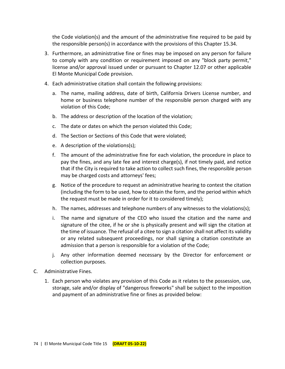the Code violation(s) and the amount of the administrative fine required to be paid by the responsible person(s) in accordance with the provisions of this Chapter 15.34.

- 3. Furthermore, an administrative fine or fines may be imposed on any person for failure to comply with any condition or requirement imposed on any "block party permit," license and/or approval issued under or pursuant to Chapter 12.07 or other applicable El Monte Municipal Code provision.
- 4. Each administrative citation shall contain the following provisions:
	- a. The name, mailing address, date of birth, California Drivers License number, and home or business telephone number of the responsible person charged with any violation of this Code;
	- b. The address or description of the location of the violation;
	- c. The date or dates on which the person violated this Code;
	- d. The Section or Sections of this Code that were violated;
	- e. A description of the violations(s);
	- f. The amount of the administrative fine for each violation, the procedure in place to pay the fines, and any late fee and interest charge(s), if not timely paid, and notice that if the City is required to take action to collect such fines, the responsible person may be charged costs and attorneys' fees;
	- g. Notice of the procedure to request an administrative hearing to contest the citation (including the form to be used, how to obtain the form, and the period within which the request must be made in order for it to considered timely);
	- h. The names, addresses and telephone numbers of any witnesses to the violations(s);
	- i. The name and signature of the CEO who issued the citation and the name and signature of the citee, if he or she is physically present and will sign the citation at the time of issuance. The refusal of a citee to sign a citation shall not affect its validity or any related subsequent proceedings, nor shall signing a citation constitute an admission that a person is responsible for a violation of the Code;
	- j. Any other information deemed necessary by the Director for enforcement or collection purposes.
- C. Administrative Fines.
	- 1. Each person who violates any provision of this Code as it relates to the possession, use, storage, sale and/or display of "dangerous fireworks" shall be subject to the imposition and payment of an administrative fine or fines as provided below: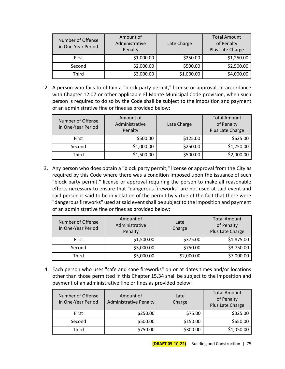| Number of Offense<br>in One-Year Period | Amount of<br>Administrative<br>Penalty | Late Charge | <b>Total Amount</b><br>of Penalty<br>Plus Late Charge |
|-----------------------------------------|----------------------------------------|-------------|-------------------------------------------------------|
| <b>First</b>                            | \$1,000.00                             | \$250.00    | \$1,250.00                                            |
| Second                                  | \$2,000.00                             | \$500.00    | \$2,500.00                                            |
| Third                                   | \$3,000.00                             | \$1,000.00  | \$4,000.00                                            |

2. A person who fails to obtain a "block party permit," license or approval, in accordance with Chapter 12.07 or other applicable El Monte Municipal Code provision, when such person is required to do so by the Code shall be subject to the imposition and payment of an administrative fine or fines as provided below:

| Number of Offense<br>in One-Year Period | Amount of<br>Administrative<br>Penalty | Late Charge | <b>Total Amount</b><br>of Penalty<br>Plus Late Charge |
|-----------------------------------------|----------------------------------------|-------------|-------------------------------------------------------|
| First                                   | \$500.00                               | \$125.00    | \$625.00                                              |
| Second                                  | \$1,000.00                             | \$250.00    | \$1,250.00                                            |
| Third                                   | \$1,500.00                             | \$500.00    | \$2,000.00                                            |

3. Any person who does obtain a "block party permit," license or approval from the City as required by this Code where there was a condition imposed upon the issuance of such "block party permit," license or approval requiring the person to make all reasonable efforts necessary to ensure that "dangerous fireworks" are not used at said event and said person is said to be in violation of the permit by virtue of the fact that there were "dangerous fireworks" used at said event shall be subject to the imposition and payment of an administrative fine or fines as provided below:

| Number of Offense<br>in One-Year Period | Amount of<br>Administrative<br>Penalty | Late<br>Charge | <b>Total Amount</b><br>of Penalty<br>Plus Late Charge |
|-----------------------------------------|----------------------------------------|----------------|-------------------------------------------------------|
| First                                   | \$1,500.00                             | \$375.00       | \$1,875.00                                            |
| Second                                  | \$3,000.00                             | \$750.00       | \$3,750.00                                            |
| <b>Third</b>                            | \$5,000.00                             | \$2,000.00     | \$7,000.00                                            |

4. Each person who uses "safe and sane fireworks" on or at dates times and/or locations other than those permitted in this Chapter 15.34 shall be subject to the imposition and payment of an administrative fine or fines as provided below:

| Number of Offense<br>in One-Year Period | Amount of<br><b>Administrative Penalty</b> | Late<br>Charge | <b>Total Amount</b><br>of Penalty<br>Plus Late Charge |
|-----------------------------------------|--------------------------------------------|----------------|-------------------------------------------------------|
| First                                   | \$250.00                                   | \$75.00        | \$325.00                                              |
| Second                                  | \$500.00                                   | \$150.00       | \$650.00                                              |
| Third                                   | \$750.00                                   | \$300.00       | \$1,050.00                                            |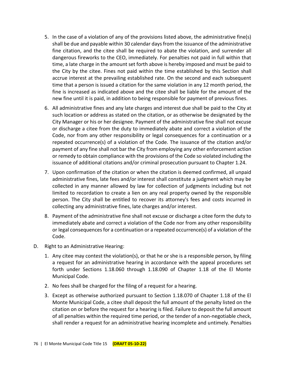- 5. In the case of a violation of any of the provisions listed above, the administrative fine(s) shall be due and payable within 30 calendar days from the issuance of the administrative fine citation, and the citee shall be required to abate the violation, and surrender all dangerous fireworks to the CEO, immediately. For penalties not paid in full within that time, a late charge in the amount set forth above is hereby imposed and must be paid to the City by the citee. Fines not paid within the time established by this Section shall accrue interest at the prevailing established rate. On the second and each subsequent time that a person is issued a citation for the same violation in any 12 month period, the fine is increased as indicated above and the citee shall be liable for the amount of the new fine until it is paid, in addition to being responsible for payment of previous fines.
- 6. All administrative fines and any late charges and interest due shall be paid to the City at such location or address as stated on the citation, or as otherwise be designated by the City Manager or his or her designee. Payment of the administrative fine shall not excuse or discharge a citee from the duty to immediately abate and correct a violation of the Code, nor from any other responsibility or legal consequences for a continuation or a repeated occurrence(s) of a violation of the Code. The issuance of the citation and/or payment of any fine shall not bar the City from employing any other enforcement action or remedy to obtain compliance with the provisions of the Code so violated including the issuance of additional citations and/or criminal prosecution pursuant to Chapter 1.24.
- 7. Upon confirmation of the citation or when the citation is deemed confirmed, all unpaid administrative fines, late fees and/or interest shall constitute a judgment which may be collected in any manner allowed by law for collection of judgments including but not limited to recordation to create a lien on any real property owned by the responsible person. The City shall be entitled to recover its attorney's fees and costs incurred in collecting any administrative fines, late charges and/or interest.
- 8. Payment of the administrative fine shall not excuse or discharge a citee form the duty to immediately abate and correct a violation of the Code nor from any other responsibility or legal consequences for a continuation or a repeated occurrence(s) of a violation of the Code.
- D. Right to an Administrative Hearing:
	- 1. Any citee may contest the violation(s), or that he or she is a responsible person, by filing a request for an administrative hearing in accordance with the appeal procedures set forth under Sections 1.18.060 through 1.18.090 of Chapter 1.18 of the El Monte Municipal Code.
	- 2. No fees shall be charged for the filing of a request for a hearing.
	- 3. Except as otherwise authorized pursuant to Section 1.18.070 of Chapter 1.18 of the El Monte Municipal Code, a citee shall deposit the full amount of the penalty listed on the citation on or before the request for a hearing is filed. Failure to deposit the full amount of all penalties within the required time period, or the tender of a non-negotiable check, shall render a request for an administrative hearing incomplete and untimely. Penalties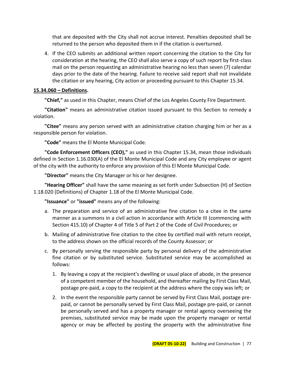that are deposited with the City shall not accrue interest. Penalties deposited shall be returned to the person who deposited them in if the citation is overturned.

4. If the CEO submits an additional written report concerning the citation to the City for consideration at the hearing, the CEO shall also serve a copy of such report by first-class mail on the person requesting an administrative hearing no less than seven (7) calendar days prior to the date of the hearing. Failure to receive said report shall not invalidate the citation or any hearing, City action or proceeding pursuant to this Chapter 15.34.

# **15.34.060 – Definitions.**

**"Chief,"** as used in this Chapter, means Chief of the Los Angeles County Fire Department.

**"Citation"** means an administrative citation issued pursuant to this Section to remedy a violation.

**"Citee"** means any person served with an administrative citation charging him or her as a responsible person for violation.

**"Code"** means the El Monte Municipal Code.

**"Code Enforcement Officers (CEO),"** as used in this Chapter 15.34, mean those individuals defined in Section 1.16.030(A) of the El Monte Municipal Code and any City employee or agent of the city with the authority to enforce any provision of this El Monte Municipal Code.

**"Director"** means the City Manager or his or her designee.

**"Hearing Officer"** shall have the same meaning as set forth under Subsection (H) of Section 1.18.020 (Definitions) of Chapter 1.18 of the El Monte Municipal Code.

**"Issuance"** or **"issued"** means any of the following:

- a. The preparation and service of an administrative fine citation to a citee in the same manner as a summons in a civil action in accordance with Article III (commencing with Section 415.10) of Chapter 4 of Title 5 of Part 2 of the Code of Civil Procedures; or
- b. Mailing of administrative fine citation to the citee by certified mail with return receipt, to the address shown on the official records of the County Assessor; or
- c. By personally serving the responsible party by personal delivery of the administrative fine citation or by substituted service. Substituted service may be accomplished as follows:
	- 1. By leaving a copy at the recipient's dwelling or usual place of abode, in the presence of a competent member of the household, and thereafter mailing by First Class Mail, postage pre-paid, a copy to the recipient at the address where the copy was left; or
	- 2. In the event the responsible party cannot be served by First Class Mail, postage prepaid, or cannot be personally served by First Class Mail, postage pre-paid, or cannot be personally served and has a property manager or rental agency overseeing the premises, substituted service may be made upon the property manager or rental agency or may be affected by posting the property with the administrative fine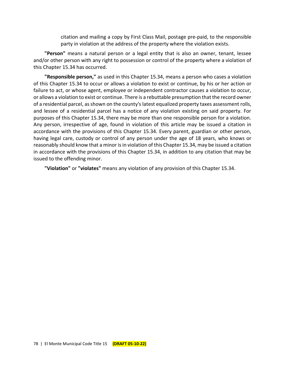citation and mailing a copy by First Class Mail, postage pre-paid, to the responsible party in violation at the address of the property where the violation exists.

**"Person"** means a natural person or a legal entity that is also an owner, tenant, lessee and/or other person with any right to possession or control of the property where a violation of this Chapter 15.34 has occurred.

**"Responsible person,"** as used in this Chapter 15.34, means a person who cases a violation of this Chapter 15.34 to occur or allows a violation to exist or continue, by his or her action or failure to act, or whose agent, employee or independent contractor causes a violation to occur, or allows a violation to exist or continue. There is a rebuttable presumption that the record owner of a residential parcel, as shown on the county's latest equalized property taxes assessment rolls, and lessee of a residential parcel has a notice of any violation existing on said property. For purposes of this Chapter 15.34, there may be more than one responsible person for a violation. Any person, irrespective of age, found in violation of this article may be issued a citation in accordance with the provisions of this Chapter 15.34. Every parent, guardian or other person, having legal care, custody or control of any person under the age of 18 years, who knows or reasonably should know that a minor is in violation of this Chapter 15.34, may be issued a citation in accordance with the provisions of this Chapter 15.34, in addition to any citation that may be issued to the offending minor.

**"Violation"** or **"violates"** means any violation of any provision of this Chapter 15.34.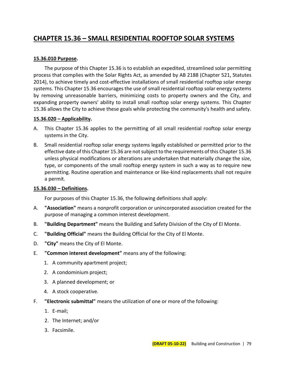# **CHAPTER 15.36 – SMALL RESIDENTIAL ROOFTOP SOLAR SYSTEMS**

# **15.36.010 Purpose.**

The purpose of this Chapter 15.36 is to establish an expedited, streamlined solar permitting process that complies with the Solar Rights Act, as amended by AB 2188 (Chapter 521, Statutes 2014), to achieve timely and cost-effective installations of small residential rooftop solar energy systems. This Chapter 15.36 encourages the use of small residential rooftop solar energy systems by removing unreasonable barriers, minimizing costs to property owners and the City, and expanding property owners' ability to install small rooftop solar energy systems. This Chapter 15.36 allows the City to achieve these goals while protecting the community's health and safety.

## **15.36.020 – Applicability.**

- A. This Chapter 15.36 applies to the permitting of all small residential rooftop solar energy systems in the City.
- B. Small residential rooftop solar energy systems legally established or permitted prior to the effective date of this Chapter 15.36 are not subject to the requirements of this Chapter 15.36 unless physical modifications or alterations are undertaken that materially change the size, type, or components of the small rooftop energy system in such a way as to require new permitting. Routine operation and maintenance or like-kind replacements shall not require a permit.

## **15.36.030 – Definitions.**

For purposes of this Chapter 15.36, the following definitions shall apply:

- A. **"Association"** means a nonprofit corporation or unincorporated association created for the purpose of managing a common interest development.
- B. **"Building Department"** means the Building and Safety Division of the City of El Monte.
- C. **"Building Official"** means the Building Official for the City of El Monte.
- D. **"City"** means the City of El Monte.
- E. **"Common interest development"** means any of the following:
	- 1. A community apartment project;
	- 2. A condominium project;
	- 3. A planned development; or
	- 4. A stock cooperative.
- F. **"Electronic submittal"** means the utilization of one or more of the following:
	- 1. E-mail;
	- 2. The Internet; and/or
	- 3. Facsimile.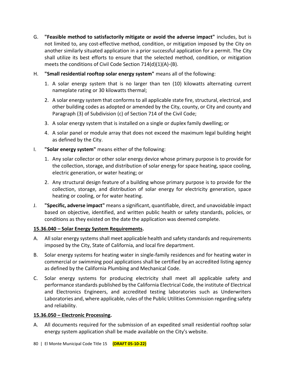- G. **"Feasible method to satisfactorily mitigate or avoid the adverse impact"** includes, but is not limited to, any cost-effective method, condition, or mitigation imposed by the City on another similarly situated application in a prior successful application for a permit. The City shall utilize its best efforts to ensure that the selected method, condition, or mitigation meets the conditions of Civil Code Section 714(d)(1)(A)-(B).
- H. **"Small residential rooftop solar energy system"** means all of the following:
	- 1. A solar energy system that is no larger than ten (10) kilowatts alternating current nameplate rating or 30 kilowatts thermal;
	- 2. A solar energy system that conforms to all applicable state fire, structural, electrical, and other building codes as adopted or amended by the City, county, or City and county and Paragraph (3) of Subdivision (c) of Section 714 of the Civil Code;
	- 3. A solar energy system that is installed on a single or duplex family dwelling; or
	- 4. A solar panel or module array that does not exceed the maximum legal building height as defined by the City.
- I. **"Solar energy system"** means either of the following:
	- 1. Any solar collector or other solar energy device whose primary purpose is to provide for the collection, storage, and distribution of solar energy for space heating, space cooling, electric generation, or water heating; or
	- 2. Any structural design feature of a building whose primary purpose is to provide for the collection, storage, and distribution of solar energy for electricity generation, space heating or cooling, or for water heating.
- J. **"Specific, adverse impact"** means a significant, quantifiable, direct, and unavoidable impact based on objective, identified, and written public health or safety standards, policies, or conditions as they existed on the date the application was deemed complete.

# **15.36.040 – Solar Energy System Requirements.**

- A. All solar energy systems shall meet applicable health and safety standards and requirements imposed by the City, State of California, and local fire department.
- B. Solar energy systems for heating water in single-family residences and for heating water in commercial or swimming pool applications shall be certified by an accredited listing agency as defined by the California Plumbing and Mechanical Code.
- C. Solar energy systems for producing electricity shall meet all applicable safety and performance standards published by the California Electrical Code, the institute of Electrical and Electronics Engineers, and accredited testing laboratories such as Underwriters Laboratories and, where applicable, rules of the Public Utilities Commission regarding safety and reliability.

## **15.36.050 – Electronic Processing.**

A. All documents required for the submission of an expedited small residential rooftop solar energy system application shall be made available on the City's website.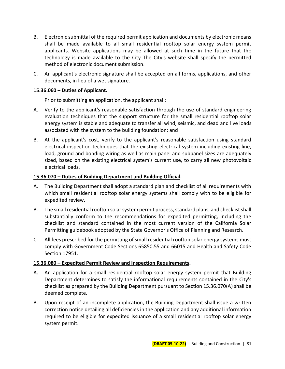- B. Electronic submittal of the required permit application and documents by electronic means shall be made available to all small residential rooftop solar energy system permit applicants. Website applications may be allowed at such time in the future that the technology is made available to the City The City's website shall specify the permitted method of electronic document submission.
- C. An applicant's electronic signature shall be accepted on all forms, applications, and other documents, in lieu of a wet signature.

# **15.36.060 – Duties of Applicant.**

Prior to submitting an application, the applicant shall:

- A. Verify to the applicant's reasonable satisfaction through the use of standard engineering evaluation techniques that the support structure for the small residential rooftop solar energy system is stable and adequate to transfer all wind, seismic, and dead and live loads associated with the system to the building foundation; and
- B. At the applicant's cost, verify to the applicant's reasonable satisfaction using standard electrical inspection techniques that the existing electrical system including existing line, load, ground and bonding wiring as well as main panel and subpanel sizes are adequately sized, based on the existing electrical system's current use, to carry all new photovoltaic electrical loads.

# **15.36.070 – Duties of Building Department and Building Official.**

- A. The Building Department shall adopt a standard plan and checklist of all requirements with which small residential rooftop solar energy systems shall comply with to be eligible for expedited review.
- B. The small residential rooftop solar system permit process, standard plans, and checklist shall substantially conform to the recommendations for expedited permitting, including the checklist and standard contained in the most current version of the California Solar Permitting guidebook adopted by the State Governor's Office of Planning and Research.
- C. All fees prescribed for the permitting of small residential rooftop solar energy systems must comply with Government Code Sections 65850.55 and 66015 and Health and Safety Code Section 17951.

## **15.36.080 – Expedited Permit Review and Inspection Requirements.**

- A. An application for a small residential rooftop solar energy system permit that Building Department determines to satisfy the informational requirements contained in the City's checklist as prepared by the Building Department pursuant to Section 15.36.070(A) shall be deemed complete.
- B. Upon receipt of an incomplete application, the Building Department shall issue a written correction notice detailing all deficiencies in the application and any additional information required to be eligible for expedited issuance of a small residential rooftop solar energy system permit.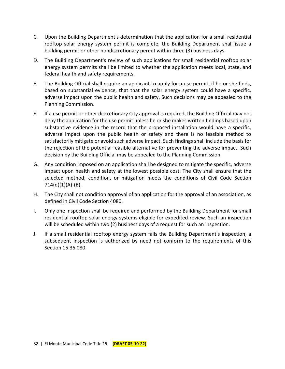- C. Upon the Building Department's determination that the application for a small residential rooftop solar energy system permit is complete, the Building Department shall issue a building permit or other nondiscretionary permit within three (3) business days.
- D. The Building Department's review of such applications for small residential rooftop solar energy system permits shall be limited to whether the application meets local, state, and federal health and safety requirements.
- E. The Building Official shall require an applicant to apply for a use permit, if he or she finds, based on substantial evidence, that that the solar energy system could have a specific, adverse impact upon the public health and safety. Such decisions may be appealed to the Planning Commission.
- F. If a use permit or other discretionary City approval is required, the Building Official may not deny the application for the use permit unless he or she makes written findings based upon substantive evidence in the record that the proposed installation would have a specific, adverse impact upon the public health or safety and there is no feasible method to satisfactorily mitigate or avoid such adverse impact. Such findings shall include the basis for the rejection of the potential feasible alternative for preventing the adverse impact. Such decision by the Building Official may be appealed to the Planning Commission.
- G. Any condition imposed on an application shall be designed to mitigate the specific, adverse impact upon health and safety at the lowest possible cost. The City shall ensure that the selected method, condition, or mitigation meets the conditions of Civil Code Section 714(d)(1)(A)-(B).
- H. The City shall not condition approval of an application for the approval of an association, as defined in Civil Code Section 4080.
- I. Only one inspection shall be required and performed by the Building Department for small residential rooftop solar energy systems eligible for expedited review. Such an inspection will be scheduled within two (2) business days of a request for such an inspection.
- J. If a small residential rooftop energy system fails the Building Department's inspection, a subsequent inspection is authorized by need not conform to the requirements of this Section 15.36.080.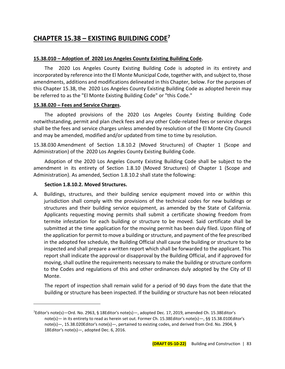# **CHAPTER 15.38 – EXISTING BUILDING CODE<sup>7</sup>**

# **15.38.010 – Adoption of 2020 Los Angeles County Existing Building Code.**

The 2020 Los Angeles County Existing Building Code is adopted in its entirety and incorporated by reference into the El Monte Municipal Code, together with, and subject to, those amendments, additions and modifications delineated in this Chapter, below. For the purposes of this Chapter 15.38, the 2020 Los Angeles County Existing Building Code as adopted herein may be referred to as the "El Monte Existing Building Code" or "this Code."

## **15.38.020 – Fees and Service Charges.**

The adopted provisions of the 2020 Los Angeles County Existing Building Code notwithstanding, permit and plan check fees and any other Code-related fees or service charges shall be the fees and service charges unless amended by resolution of the El Monte City Council and may be amended, modified and/or updated from time to time by resolution.

15.38.030 Amendment of Section 1.8.10.2 (Moved Structures) of Chapter 1 (Scope and Administration) of the 2020 Los Angeles County Existing Building Code.

Adoption of the 2020 Los Angeles County Existing Building Code shall be subject to the amendment in its entirety of Section 1.8.10 (Moved Structures) of Chapter 1 (Scope and Administration). As amended, Section 1.8.10.2 shall state the following:

# **Section 1.8.10.2. Moved Structures.**

A. Buildings, structures, and their building service equipment moved into or within this jurisdiction shall comply with the provisions of the technical codes for new buildings or structures and their building service equipment, as amended by the State of California. Applicants requesting moving permits shall submit a certificate showing freedom from termite infestation for each building or structure to be moved. Said certificate shall be submitted at the time application for the moving permit has been duly filed. Upon filing of the application for permit to move a building or structure, and payment of the fee prescribed in the adopted fee schedule, the Building Official shall cause the building or structure to be inspected and shall prepare a written report which shall be forwarded to the applicant. This report shall indicate the approval or disapproval by the Building Official, and if approved for moving, shall outline the requirements necessary to make the building or structure conform to the Codes and regulations of this and other ordinances duly adopted by the City of El Monte.

The report of inspection shall remain valid for a period of 90 days from the date that the building or structure has been inspected. If the building or structure has not been relocated

<sup>7</sup>Editor's note(s)—Ord. No. 2963, § 18Editor's note(s)—, adopted Dec. 17, 2019, amended Ch. 15.38Editor's note(s)— in its entirety to read as herein set out. Former Ch. 15.38Editor's note(s)—, §§ 15.38.010Editor's note(s)—, 15.38.020Editor's note(s)—, pertained to existing codes, and derived from Ord. No. 2904, § 18Editor's note(s)—, adopted Dec. 6, 2016.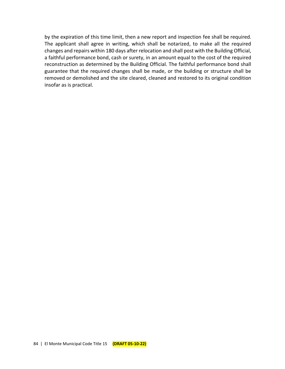by the expiration of this time limit, then a new report and inspection fee shall be required. The applicant shall agree in writing, which shall be notarized, to make all the required changes and repairs within 180 days after relocation and shall post with the Building Official, a faithful performance bond, cash or surety, in an amount equal to the cost of the required reconstruction as determined by the Building Official. The faithful performance bond shall guarantee that the required changes shall be made, or the building or structure shall be removed or demolished and the site cleared, cleaned and restored to its original condition insofar as is practical.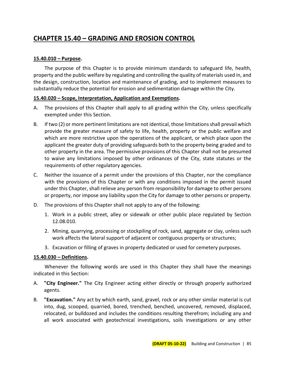# **CHAPTER 15.40 – GRADING AND EROSION CONTROL**

# **15.40.010 – Purpose.**

The purpose of this Chapter is to provide minimum standards to safeguard life, health, property and the public welfare by regulating and controlling the quality of materials used in, and the design, construction, location and maintenance of grading, and to implement measures to substantially reduce the potential for erosion and sedimentation damage within the City.

## **15.40.020 – Scope, Interpretation, Application and Exemptions.**

- A. The provisions of this Chapter shall apply to all grading within the City, unless specifically exempted under this Section.
- B. If two (2) or more pertinent limitations are not identical, those limitations shall prevail which provide the greater measure of safety to life, health, property or the public welfare and which are more restrictive upon the operations of the applicant, or which place upon the applicant the greater duty of providing safeguards both to the property being graded and to other property in the area. The permissive provisions of this Chapter shall not be presumed to waive any limitations imposed by other ordinances of the City, state statutes or the requirements of other regulatory agencies.
- C. Neither the issuance of a permit under the provisions of this Chapter, nor the compliance with the provisions of this Chapter or with any conditions imposed in the permit issued under this Chapter, shall relieve any person from responsibility for damage to other persons or property, nor impose any liability upon the City for damage to other persons or property.
- D. The provisions of this Chapter shall not apply to any of the following:
	- 1. Work in a public street, alley or sidewalk or other public place regulated by Section 12.08.010.
	- 2. Mining, quarrying, processing or stockpiling of rock, sand, aggregate or clay, unless such work affects the lateral support of adjacent or contiguous property or structures;
	- 3. Excavation or filling of graves in property dedicated or used for cemetery purposes.

## **15.40.030 – Definitions.**

Whenever the following words are used in this Chapter they shall have the meanings indicated in this Section:

- A. **"City Engineer."** The City Engineer acting either directly or through properly authorized agents.
- B. **"Excavation."** Any act by which earth, sand, gravel, rock or any other similar material is cut into, dug, scooped, quarried, bored, trenched, benched, uncovered, removed, displaced, relocated, or bulldozed and includes the conditions resulting therefrom; including any and all work associated with geotechnical investigations, soils investigations or any other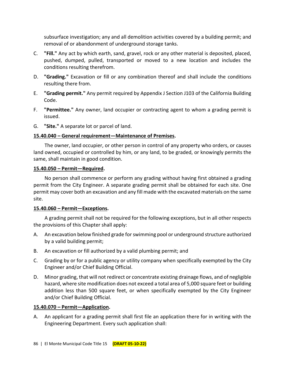subsurface investigation; any and all demolition activities covered by a building permit; and removal of or abandonment of underground storage tanks.

- C. **"Fill."** Any act by which earth, sand, gravel, rock or any other material is deposited, placed, pushed, dumped, pulled, transported or moved to a new location and includes the conditions resulting therefrom.
- D. **"Grading."** Excavation or fill or any combination thereof and shall include the conditions resulting there from.
- E. **"Grading permit."** Any permit required by Appendix J Section J103 of the California Building Code.
- F. **"Permittee."** Any owner, land occupier or contracting agent to whom a grading permit is issued.
- G. **"Site."** A separate lot or parcel of land.

# **15.40.040 – General requirement—Maintenance of Premises.**

The owner, land occupier, or other person in control of any property who orders, or causes land owned, occupied or controlled by him, or any land, to be graded, or knowingly permits the same, shall maintain in good condition.

## **15.40.050 – Permit—Required.**

No person shall commence or perform any grading without having first obtained a grading permit from the City Engineer. A separate grading permit shall be obtained for each site. One permit may cover both an excavation and any fill made with the excavated materials on the same site.

## **15.40.060 – Permit—Exceptions.**

A grading permit shall not be required for the following exceptions, but in all other respects the provisions of this Chapter shall apply:

- A. An excavation below finished grade for swimming pool or underground structure authorized by a valid building permit;
- B. An excavation or fill authorized by a valid plumbing permit; and
- C. Grading by or for a public agency or utility company when specifically exempted by the City Engineer and/or Chief Building Official.
- D. Minor grading, that will not redirect or concentrate existing drainage flows, and of negligible hazard, where site modification does not exceed a total area of 5,000 square feet or building addition less than 500 square feet, or when specifically exempted by the City Engineer and/or Chief Building Official.

# **15.40.070 – Permit—Application.**

A. An applicant for a grading permit shall first file an application there for in writing with the Engineering Department. Every such application shall: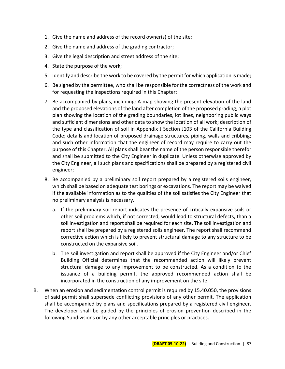- 1. Give the name and address of the record owner(s) of the site;
- 2. Give the name and address of the grading contractor;
- 3. Give the legal description and street address of the site;
- 4. State the purpose of the work;
- 5. Identify and describe the work to be covered by the permit for which application is made;
- 6. Be signed by the permittee, who shall be responsible for the correctness of the work and for requesting the inspections required in this Chapter;
- 7. Be accompanied by plans, including: A map showing the present elevation of the land and the proposed elevations of the land after completion of the proposed grading; a plot plan showing the location of the grading boundaries, lot lines, neighboring public ways and sufficient dimensions and other data to show the location of all work; description of the type and classification of soil in Appendix J Section J103 of the California Building Code; details and location of proposed drainage structures, piping, walls and cribbing; and such other information that the engineer of record may require to carry out the purpose of this Chapter. All plans shall bear the name of the person responsible therefor and shall be submitted to the City Engineer in duplicate. Unless otherwise approved by the City Engineer, all such plans and specifications shall be prepared by a registered civil engineer;
- 8. Be accompanied by a preliminary soil report prepared by a registered soils engineer, which shall be based on adequate test borings or excavations. The report may be waived if the available information as to the qualities of the soil satisfies the City Engineer that no preliminary analysis is necessary.
	- a. If the preliminary soil report indicates the presence of critically expansive soils or other soil problems which, if not corrected, would lead to structural defects, than a soil investigation and report shall be required for each site. The soil investigation and report shall be prepared by a registered soils engineer. The report shall recommend corrective action which is likely to prevent structural damage to any structure to be constructed on the expansive soil.
	- b. The soil investigation and report shall be approved if the City Engineer and/or Chief Building Official determines that the recommended action will likely prevent structural damage to any improvement to be constructed. As a condition to the issuance of a building permit, the approved recommended action shall be incorporated in the construction of any improvement on the site.
- B. When an erosion and sedimentation control permit is required by 15.40.050, the provisions of said permit shall supersede conflicting provisions of any other permit. The application shall be accompanied by plans and specifications prepared by a registered civil engineer. The developer shall be guided by the principles of erosion prevention described in the following Subdivisions or by any other acceptable principles or practices.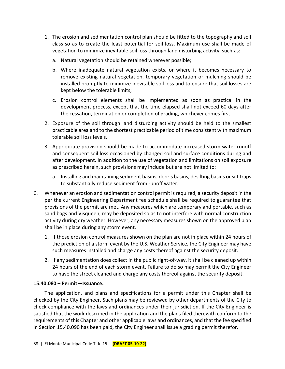- 1. The erosion and sedimentation control plan should be fitted to the topography and soil class so as to create the least potential for soil loss. Maximum use shall be made of vegetation to minimize inevitable soil loss through land disturbing activity, such as:
	- a. Natural vegetation should be retained wherever possible;
	- b. Where inadequate natural vegetation exists, or where it becomes necessary to remove existing natural vegetation, temporary vegetation or mulching should be installed promptly to minimize inevitable soil loss and to ensure that soil losses are kept below the tolerable limits;
	- c. Erosion control elements shall be implemented as soon as practical in the development process, except that the time elapsed shall not exceed 60 days after the cessation, termination or completion of grading, whichever comes first.
- 2. Exposure of the soil through land disturbing activity should be held to the smallest practicable area and to the shortest practicable period of time consistent with maximum tolerable soil loss levels.
- 3. Appropriate provision should be made to accommodate increased storm water runoff and consequent soil loss occasioned by changed soil and surface conditions during and after development. In addition to the use of vegetation and limitations on soil exposure as prescribed herein, such provisions may include but are not limited to:
	- a. Installing and maintaining sediment basins, debris basins, desilting basins or silt traps to substantially reduce sediment from runoff water.
- C. Whenever an erosion and sedimentation control permit is required, a security deposit in the per the current Engineering Department fee schedule shall be required to guarantee that provisions of the permit are met. Any measures which are temporary and portable, such as sand bags and Visqueen, may be deposited so as to not interfere with normal construction activity during dry weather. However, any necessary measures shown on the approved plan shall be in place during any storm event.
	- 1. If those erosion control measures shown on the plan are not in place within 24 hours of the prediction of a storm event by the U.S. Weather Service, the City Engineer may have such measures installed and charge any costs thereof against the security deposit.
	- 2. If any sedimentation does collect in the public right-of-way, it shall be cleaned up within 24 hours of the end of each storm event. Failure to do so may permit the City Engineer to have the street cleaned and charge any costs thereof against the security deposit.

## **15.40.080 – Permit—Issuance.**

The application, and plans and specifications for a permit under this Chapter shall be checked by the City Engineer. Such plans may be reviewed by other departments of the City to check compliance with the laws and ordinances under their jurisdiction. If the City Engineer is satisfied that the work described in the application and the plans filed therewith conform to the requirements of this Chapter and other applicable laws and ordinances, and that the fee specified in Section 15.40.090 has been paid, the City Engineer shall issue a grading permit therefor.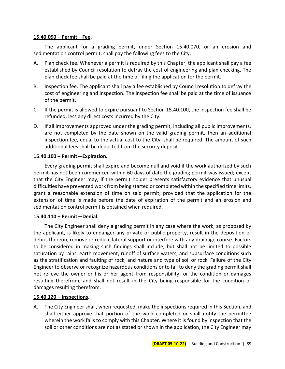# **15.40.090 – Permit—Fee.**

The applicant for a grading permit, under Section 15.40.070, or an erosion and sedimentation control permit, shall pay the following fees to the City:

- A. Plan check fee. Whenever a permit is required by this Chapter, the applicant shall pay a fee established by Council resolution to defray the cost of engineering and plan checking. The plan check fee shall be paid at the time of filing the application for the permit.
- B. Inspection fee. The applicant shall pay a fee established by Council resolution to defray the cost of engineering and inspection. The inspection fee shall be paid at the time of issuance of the permit.
- C. If the permit is allowed to expire pursuant to Section 15.40.100, the inspection fee shall be refunded, less any direct costs incurred by the City.
- D. If all improvements approved under the grading permit, including all public improvements, are not completed by the date shown on the valid grading permit, then an additional inspection fee, equal to the actual cost to the City, shall be required. The amount of such additional fees shall be deducted from the security deposit.

# **15.40.100 – Permit—Expiration.**

Every grading permit shall expire and become null and void if the work authorized by such permit has not been commenced within 60 days of date the grading permit was issued; except that the City Engineer may, if the permit holder presents satisfactory evidence that unusual difficulties have prevented work from being started or completed within the specified time limits, grant a reasonable extension of time on said permit; provided that the application for the extension of time is made before the date of expiration of the permit and an erosion and sedimentation control permit is obtained when required.

# **15.40.110 – Permit—Denial.**

The City Engineer shall deny a grading permit in any case where the work, as proposed by the applicant, is likely to endanger any private or public property, result in the deposition of debris thereon, remove or reduce lateral support or interfere with any drainage course. Factors to be considered in making such findings shall include, but shall not be limited to possible saturation by rains, earth movement, runoff of surface waters, and subsurface conditions such as the stratification and faulting of rock, and nature and type of soil or rock. Failure of the City Engineer to observe or recognize hazardous conditions or to fail to deny the grading permit shall not relieve the owner or his or her agent from responsibility for the condition or damages resulting therefrom, and shall not result in the City being responsible for the condition or damages resulting therefrom.

## **15.40.120 – Inspections.**

A. The City Engineer shall, when requested, make the inspections required in this Section, and shall either approve that portion of the work completed or shall notify the permittee wherein the work fails to comply with this Chapter. Where it is found by inspection that the soil or other conditions are not as stated or shown in the application, the City Engineer may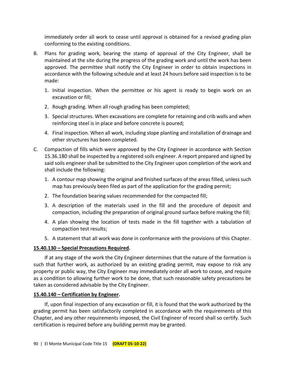immediately order all work to cease until approval is obtained for a revised grading plan conforming to the existing conditions.

- B. Plans for grading work, bearing the stamp of approval of the City Engineer, shall be maintained at the site during the progress of the grading work and until the work has been approved. The permittee shall notify the City Engineer in order to obtain inspections in accordance with the following schedule and at least 24 hours before said inspection is to be made:
	- 1. Initial inspection. When the permittee or his agent is ready to begin work on an excavation or fill;
	- 2. Rough grading. When all rough grading has been completed;
	- 3. Special structures. When excavations are complete for retaining and crib walls and when reinforcing steel is in place and before concrete is poured;
	- 4. Final inspection. When all work, including slope planting and installation of drainage and other structures has been completed.
- C. Compaction of fills which were approved by the City Engineer in accordance with Section 15.36.180 shall be inspected by a registered soils engineer. A report prepared and signed by said soils engineer shall be submitted to the City Engineer upon completion of the work and shall include the following:
	- 1. A contour map showing the original and finished surfaces of the areas filled, unless such map has previously been filed as part of the application for the grading permit;
	- 2. The foundation bearing values recommended for the compacted fill;
	- 3. A description of the materials used in the fill and the procedure of deposit and compaction, including the preparation of original ground surface before making the fill;
	- 4. A plan showing the location of tests made in the fill together with a tabulation of compaction test results;
	- 5. A statement that all work was done in conformance with the provisions of this Chapter.

# **15.40.130 – Special Precautions Required.**

If at any stage of the work the City Engineer determines that the nature of the formation is such that further work, as authorized by an existing grading permit, may expose to risk any property or public way, the City Engineer may immediately order all work to cease, and require as a condition to allowing further work to be done, that such reasonable safety precautions be taken as considered advisable by the City Engineer.

# **15.40.140 – Certification by Engineer.**

If, upon final inspection of any excavation or fill, it is found that the work authorized by the grading permit has been satisfactorily completed in accordance with the requirements of this Chapter, and any other requirements imposed, the Civil Engineer of record shall so certify. Such certification is required before any building permit may be granted.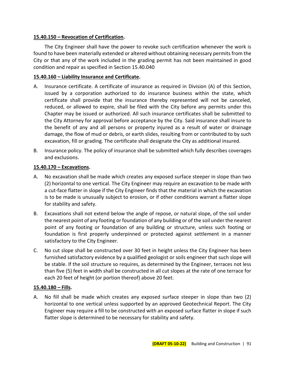# **15.40.150 – Revocation of Certification.**

The City Engineer shall have the power to revoke such certification whenever the work is found to have been materially extended or altered without obtaining necessary permits from the City or that any of the work included in the grading permit has not been maintained in good condition and repair as specified in Section 15.40.040

# **15.40.160 – Liability Insurance and Certificate.**

- A. Insurance certificate. A certificate of insurance as required in Division (A) of this Section, issued by a corporation authorized to do insurance business within the state, which certificate shall provide that the insurance thereby represented will not be canceled, reduced, or allowed to expire, shall be filed with the City before any permits under this Chapter may be issued or authorized. All such insurance certificates shall be submitted to the City Attorney for approval before acceptance by the City. Said insurance shall insure to the benefit of any and all persons or property injured as a result of water or drainage damage, the flow of mud or debris, or earth slides, resulting from or contributed to by such excavation, fill or grading. The certificate shall designate the City as additional insured.
- B. Insurance policy. The policy of insurance shall be submitted which fully describes coverages and exclusions.

# **15.40.170 – Excavations.**

- A. No excavation shall be made which creates any exposed surface steeper in slope than two (2) horizontal to one vertical. The City Engineer may require an excavation to be made with a cut-face flatter in slope if the City Engineer finds that the material in which the excavation is to be made is unusually subject to erosion, or if other conditions warrant a flatter slope for stability and safety.
- B. Excavations shall not extend below the angle of repose, or natural slope, of the soil under the nearest point of any footing or foundation of any building or of the soil under the nearest point of any footing or foundation of any building or structure, unless such footing or foundation is first properly underpinned or protected against settlement in a manner satisfactory to the City Engineer.
- C. No cut slope shall be constructed over 30 feet in height unless the City Engineer has been furnished satisfactory evidence by a qualified geologist or soils engineer that such slope will be stable. If the soil structure so requires, as determined by the Engineer, terraces not less than five (5) feet in width shall be constructed in all cut slopes at the rate of one terrace for each 20 feet of height (or portion thereof) above 20 feet.

## **15.40.180 – Fills.**

A. No fill shall be made which creates any exposed surface steeper in slope than two (2) horizontal to one vertical unless supported by an approved Geotechnical Report. The City Engineer may require a fill to be constructed with an exposed surface flatter in slope if such flatter slope is determined to be necessary for stability and safety.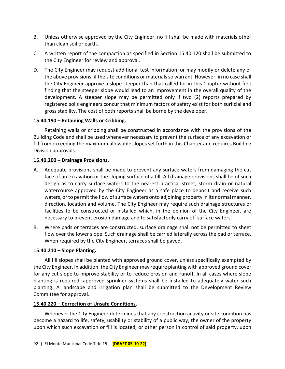- B. Unless otherwise approved by the City Engineer, no fill shall be made with materials other than clean soil or earth.
- C. A written report of the compaction as specified in Section 15.40.120 shall be submitted to the City Engineer for review and approval.
- D. The City Engineer may request additional test information, or may modify or delete any of the above provisions, if the site conditions or materials so warrant. However, in no case shall the City Engineer approve a slope steeper than that called for in this Chapter without first finding that the steeper slope would lead to an improvement in the overall quality of the development. A steeper slope may be permitted only if two (2) reports prepared by registered soils engineers concur that minimum factors of safety exist for both surficial and gross stability. The cost of both reports shall be borne by the developer.

#### **15.40.190 – Retaining Walls or Cribbing.**

Retaining walls or cribbing shall be constructed in accordance with the provisions of the Building Code and shall be used whenever necessary to prevent the surface of any excavation or fill from exceeding the maximum allowable slopes set forth in this Chapter and requires Building Division approvals.

#### **15.40.200 – Drainage Provisions.**

- A. Adequate provisions shall be made to prevent any surface waters from damaging the cut face of an excavation or the sloping surface of a fill. All drainage provisions shall be of such design as to carry surface waters to the nearest practical street, storm drain or natural watercourse approved by the City Engineer as a safe place to deposit and receive such waters, or to permit the flow of surface waters onto adjoining property in its normal manner, direction, location and volume. The City Engineer may require such drainage structures or facilities to be constructed or installed which, in the opinion of the City Engineer, are necessary to prevent erosion damage and to satisfactorily carry off surface waters.
- B. Where pads or terraces are constructed, surface drainage shall not be permitted to sheet flow over the lower slope. Such drainage shall be carried laterally across the pad or terrace. When required by the City Engineer, terraces shall be paved.

#### **15.40.210 – Slope Planting.**

All fill slopes shall be planted with approved ground cover, unless specifically exempted by the City Engineer. In addition, the City Engineer may require planting with approved ground cover for any cut slope to improve stability or to reduce erosion and runoff. In all cases where slope planting is required, approved sprinkler systems shall be installed to adequately water such planting. A landscape and irrigation plan shall be submitted to the Development Review Committee for approval.

#### **15.40.220 – Correction of Unsafe Conditions.**

Whenever the City Engineer determines that any construction activity or site condition has become a hazard to life, safety, usability or stability of a public way, the owner of the property upon which such excavation or fill is located, or other person in control of said property, upon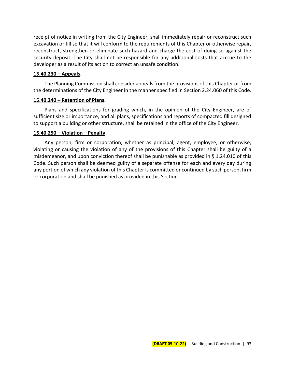receipt of notice in writing from the City Engineer, shall immediately repair or reconstruct such excavation or fill so that it will conform to the requirements of this Chapter or otherwise repair, reconstruct, strengthen or eliminate such hazard and charge the cost of doing so against the security deposit. The City shall not be responsible for any additional costs that accrue to the developer as a result of its action to correct an unsafe condition.

#### **15.40.230 – Appeals.**

The Planning Commission shall consider appeals from the provisions of this Chapter or from the determinations of the City Engineer in the manner specified in Section 2.24.060 of this Code.

#### **15.40.240 – Retention of Plans.**

Plans and specifications for grading which, in the opinion of the City Engineer, are of sufficient size or importance, and all plans, specifications and reports of compacted fill designed to support a building or other structure, shall be retained in the office of the City Engineer.

#### **15.40.250 – Violation—Penalty.**

Any person, firm or corporation, whether as principal, agent, employee, or otherwise, violating or causing the violation of any of the provisions of this Chapter shall be guilty of a misdemeanor, and upon conviction thereof shall be punishable as provided in § 1.24.010 of this Code. Such person shall be deemed guilty of a separate offense for each and every day during any portion of which any violation of this Chapter is committed or continued by such person, firm or corporation and shall be punished as provided in this Section.